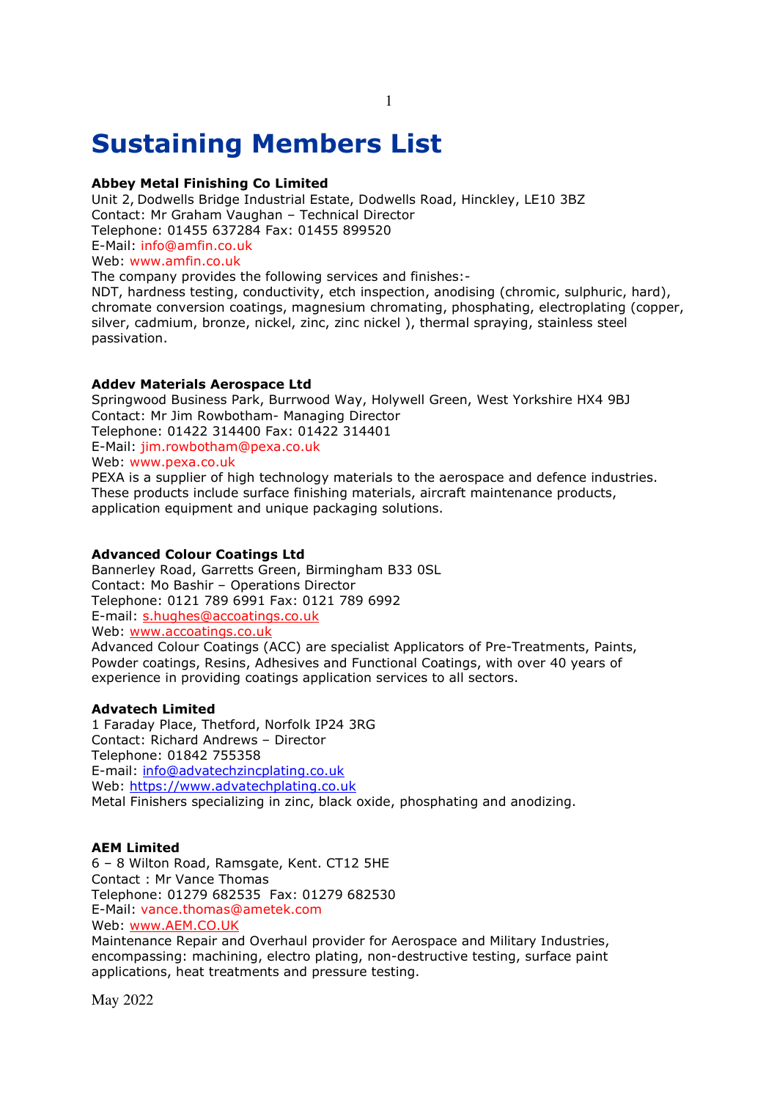# **Sustaining Members List**

# **Abbey Metal Finishing Co Limited**

Unit 2, Dodwells Bridge Industrial Estate, Dodwells Road, Hinckley, LE10 3BZ Contact: Mr Graham Vaughan – Technical Director Telephone: 01455 637284 Fax: 01455 899520 E-Mail: info@amfin.co.uk Web: www.amfin.co.uk The company provides the following services and finishes:-

NDT, hardness testing, conductivity, etch inspection, anodising (chromic, sulphuric, hard), chromate conversion coatings, magnesium chromating, phosphating, electroplating (copper, silver, cadmium, bronze, nickel, zinc, zinc nickel ), thermal spraying, stainless steel passivation.

# **Addev Materials Aerospace Ltd**

Springwood Business Park, Burrwood Way, Holywell Green, West Yorkshire HX4 9BJ Contact: Mr Jim Rowbotham- Managing Director Telephone: 01422 314400 Fax: 01422 314401 E-Mail: jim.rowbotham@pexa.co.uk Web: www.pexa.co.uk

PEXA is a supplier of high technology materials to the aerospace and defence industries. These products include surface finishing materials, aircraft maintenance products, application equipment and unique packaging solutions.

# **Advanced Colour Coatings Ltd**

Bannerley Road, Garretts Green, Birmingham B33 0SL Contact: Mo Bashir – Operations Director Telephone: 0121 789 6991 Fax: 0121 789 6992 E-mail: s.hughes@accoatings.co.uk Web: www.accoatings.co.uk Advanced Colour Coatings (ACC) are specialist Applicators of Pre-Treatments, Paints, Powder coatings, Resins, Adhesives and Functional Coatings, with over 40 years of experience in providing coatings application services to all sectors.

# **Advatech Limited**

1 Faraday Place, Thetford, Norfolk IP24 3RG Contact: Richard Andrews – Director Telephone: 01842 755358 E-mail: info@advatechzincplating.co.uk Web: https://www.advatechplating.co.uk Metal Finishers specializing in zinc, black oxide, phosphating and anodizing.

# **AEM Limited**

6 – 8 Wilton Road, Ramsgate, Kent. CT12 5HE Contact : Mr Vance Thomas Telephone: 01279 682535 Fax: 01279 682530 E-Mail: vance.thomas@ametek.com Web: www.AEM.CO.UK

Maintenance Repair and Overhaul provider for Aerospace and Military Industries, encompassing: machining, electro plating, non-destructive testing, surface paint applications, heat treatments and pressure testing.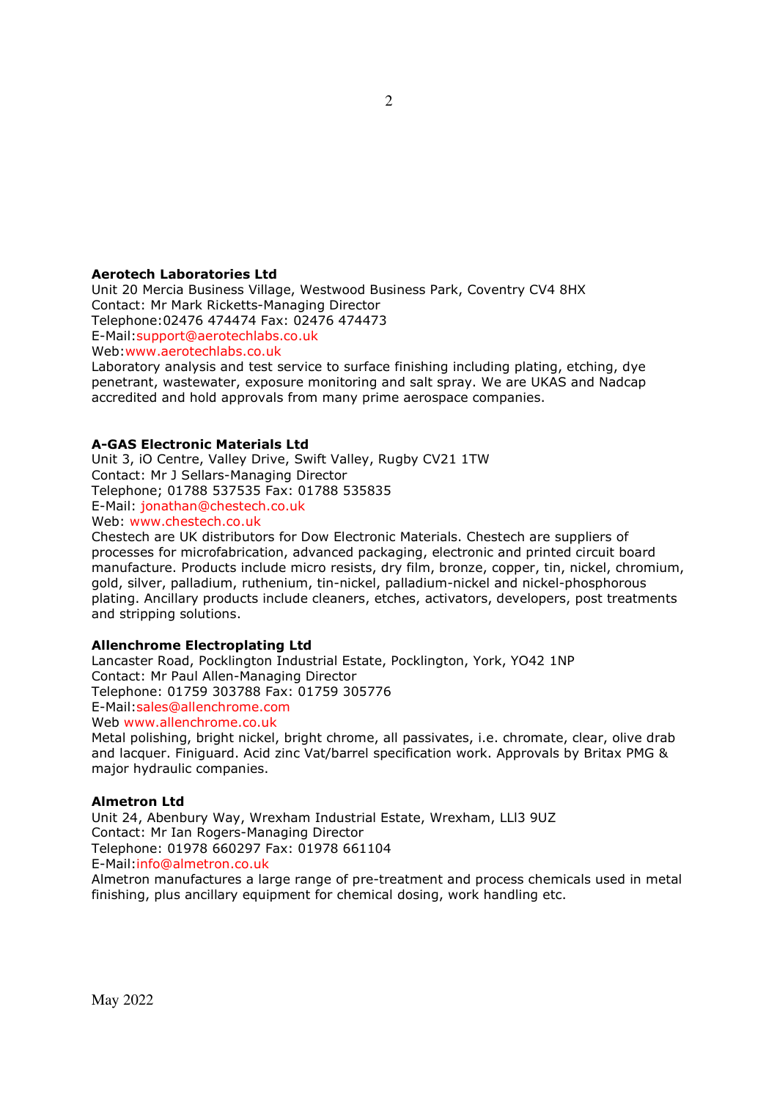### **Aerotech Laboratories Ltd**

Unit 20 Mercia Business Village, Westwood Business Park, Coventry CV4 8HX Contact: Mr Mark Ricketts-Managing Director Telephone:02476 474474 Fax: 02476 474473 E-Mail:support@aerotechlabs.co.uk Web:www.aerotechlabs.co.uk

Laboratory analysis and test service to surface finishing including plating, etching, dye penetrant, wastewater, exposure monitoring and salt spray. We are UKAS and Nadcap accredited and hold approvals from many prime aerospace companies.

# **A-GAS Electronic Materials Ltd**

Unit 3, iO Centre, Valley Drive, Swift Valley, Rugby CV21 1TW Contact: Mr J Sellars-Managing Director Telephone; 01788 537535 Fax: 01788 535835 E-Mail: jonathan@chestech.co.uk Web: www.chestech.co.uk

Chestech are UK distributors for Dow Electronic Materials. Chestech are suppliers of

processes for microfabrication, advanced packaging, electronic and printed circuit board manufacture. Products include micro resists, dry film, bronze, copper, tin, nickel, chromium, gold, silver, palladium, ruthenium, tin-nickel, palladium-nickel and nickel-phosphorous plating. Ancillary products include cleaners, etches, activators, developers, post treatments and stripping solutions.

# **Allenchrome Electroplating Ltd**

Lancaster Road, Pocklington Industrial Estate, Pocklington, York, YO42 1NP Contact: Mr Paul Allen-Managing Director Telephone: 01759 303788 Fax: 01759 305776 E-Mail:sales@allenchrome.com Web www.allenchrome.co.uk

Metal polishing, bright nickel, bright chrome, all passivates, i.e. chromate, clear, olive drab and lacquer. Finiguard. Acid zinc Vat/barrel specification work. Approvals by Britax PMG & major hydraulic companies.

#### **Almetron Ltd**

Unit 24, Abenbury Way, Wrexham Industrial Estate, Wrexham, LLl3 9UZ Contact: Mr Ian Rogers-Managing Director Telephone: 01978 660297 Fax: 01978 661104 E-Mail:info@almetron.co.uk Almetron manufactures a large range of pre-treatment and process chemicals used in metal

finishing, plus ancillary equipment for chemical dosing, work handling etc.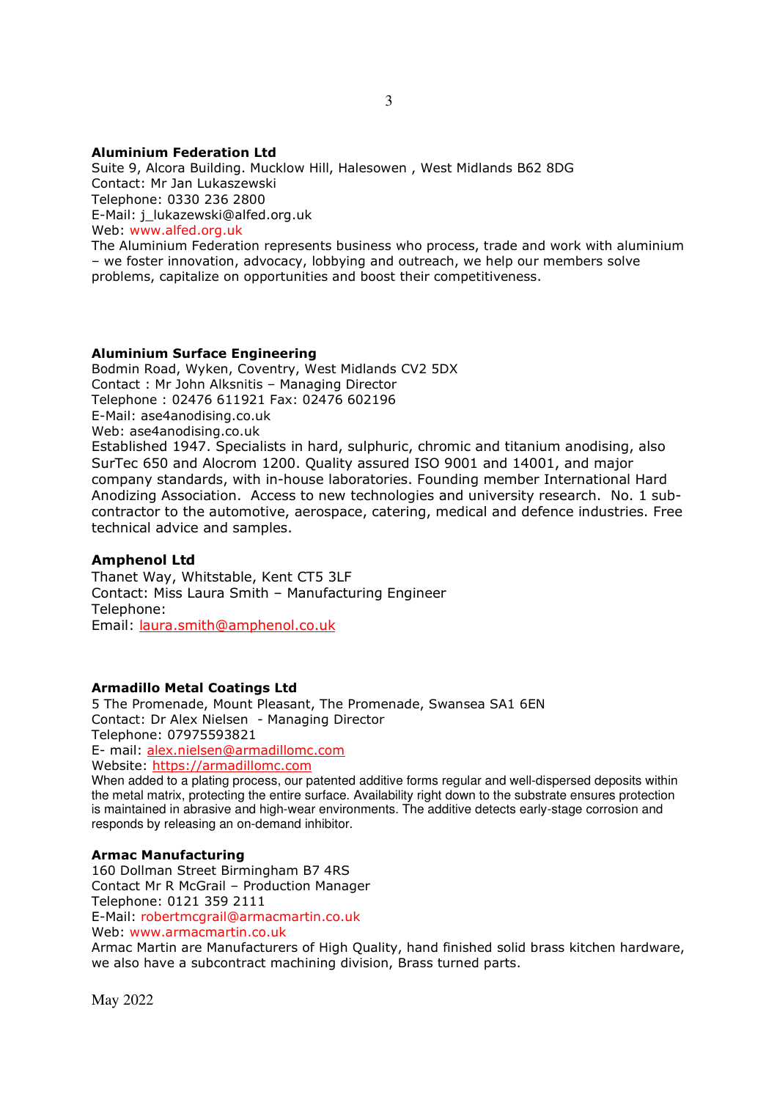# **Aluminium Federation Ltd**

Suite 9, Alcora Building. Mucklow Hill, Halesowen , West Midlands B62 8DG Contact: Mr Jan Lukaszewski Telephone: 0330 236 2800 E-Mail: j\_lukazewski@alfed.org.uk Web: www.alfed.org.uk The Aluminium Federation represents business who process, trade and work with aluminium

– we foster innovation, advocacy, lobbying and outreach, we help our members solve problems, capitalize on opportunities and boost their competitiveness.

#### **Aluminium Surface Engineering**

Bodmin Road, Wyken, Coventry, West Midlands CV2 5DX Contact : Mr John Alksnitis – Managing Director Telephone : 02476 611921 Fax: 02476 602196 E-Mail: ase4anodising.co.uk Web: ase4anodising.co.uk Established 1947. Specialists in hard, sulphuric, chromic and titanium anodising, also SurTec 650 and Alocrom 1200. Quality assured ISO 9001 and 14001, and major company standards, with in-house laboratories. Founding member International Hard Anodizing Association. Access to new technologies and university research. No. 1 subcontractor to the automotive, aerospace, catering, medical and defence industries. Free technical advice and samples.

# **Amphenol Ltd**

Thanet Way, Whitstable, Kent CT5 3LF Contact: Miss Laura Smith – Manufacturing Engineer Telephone: Email: laura.smith@amphenol.co.uk

#### **Armadillo Metal Coatings Ltd**

5 The Promenade, Mount Pleasant, The Promenade, Swansea SA1 6EN Contact: Dr Alex Nielsen - Managing Director Telephone: 07975593821 E- mail: alex.nielsen@armadillomc.com Website: https://armadillomc.com When added to a plating process, our patented additive forms regular and well-dispersed deposits within

the metal matrix, protecting the entire surface. Availability right down to the substrate ensures protection is maintained in abrasive and high-wear environments. The additive detects early-stage corrosion and responds by releasing an on-demand inhibitor.

#### **Armac Manufacturing**

160 Dollman Street Birmingham B7 4RS Contact Mr R McGrail – Production Manager Telephone: 0121 359 2111 E-Mail: robertmcgrail@armacmartin.co.uk Web: www.armacmartin.co.uk

Armac Martin are Manufacturers of High Quality, hand finished solid brass kitchen hardware, we also have a subcontract machining division, Brass turned parts.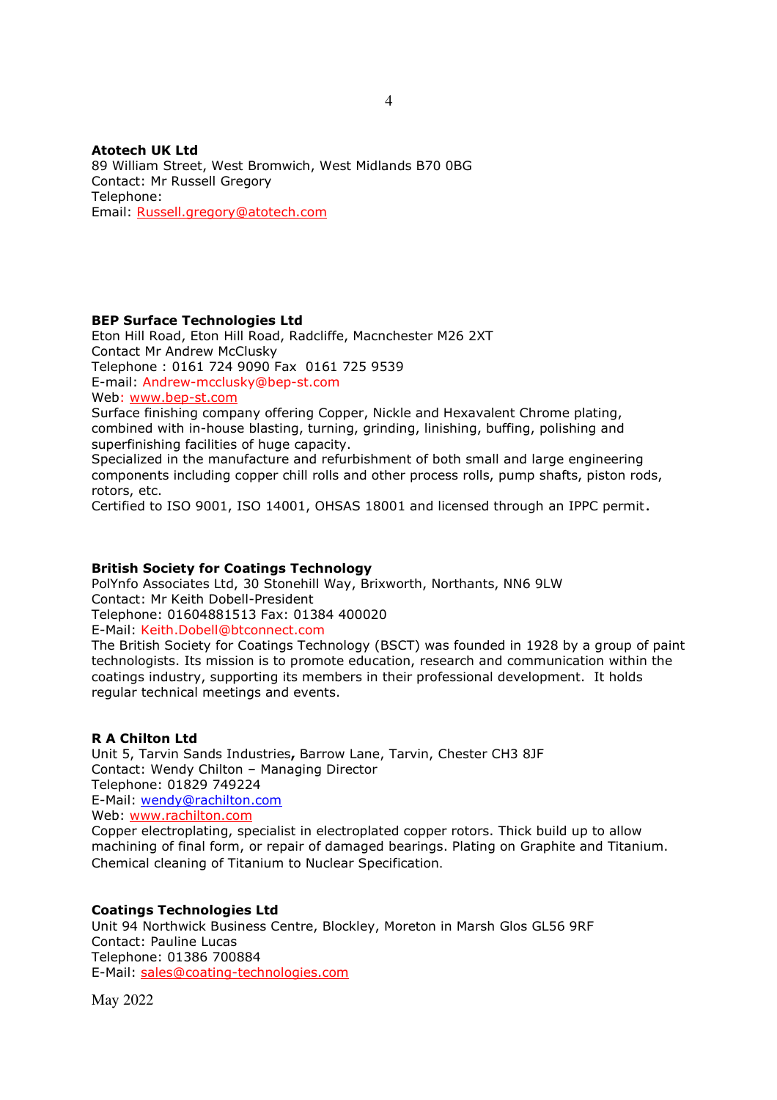**Atotech UK Ltd**  89 William Street, West Bromwich, West Midlands B70 0BG Contact: Mr Russell Gregory Telephone: Email: Russell.gregory@atotech.com

# **BEP Surface Technologies Ltd**

Eton Hill Road, Eton Hill Road, Radcliffe, Macnchester M26 2XT Contact Mr Andrew McClusky Telephone : 0161 724 9090 Fax 0161 725 9539 E-mail: Andrew-mcclusky@bep-st.com Web: www.bep-st.com

Surface finishing company offering Copper, Nickle and Hexavalent Chrome plating, combined with in-house blasting, turning, grinding, linishing, buffing, polishing and superfinishing facilities of huge capacity.

Specialized in the manufacture and refurbishment of both small and large engineering components including copper chill rolls and other process rolls, pump shafts, piston rods, rotors, etc.

Certified to ISO 9001, ISO 14001, OHSAS 18001 and licensed through an IPPC permit.

# **British Society for Coatings Technology**

PolYnfo Associates Ltd, 30 Stonehill Way, Brixworth, Northants, NN6 9LW Contact: Mr Keith Dobell-President Telephone: 01604881513 Fax: 01384 400020 E-Mail: Keith.Dobell@btconnect.com

The British Society for Coatings Technology (BSCT) was founded in 1928 by a group of paint technologists. Its mission is to promote education, research and communication within the coatings industry, supporting its members in their professional development. It holds regular technical meetings and events.

### **R A Chilton Ltd**

Unit 5, Tarvin Sands Industries**,** Barrow Lane, Tarvin, Chester CH3 8JF Contact: Wendy Chilton – Managing Director Telephone: 01829 749224 E-Mail: wendy@rachilton.com Web: www.rachilton.com Copper electroplating, specialist in electroplated copper rotors. Thick build up to allow machining of final form, or repair of damaged bearings. Plating on Graphite and Titanium. Chemical cleaning of Titanium to Nuclear Specification.

# **Coatings Technologies Ltd**

Unit 94 Northwick Business Centre, Blockley, Moreton in Marsh Glos GL56 9RF Contact: Pauline Lucas Telephone: 01386 700884 E-Mail: sales@coating-technologies.com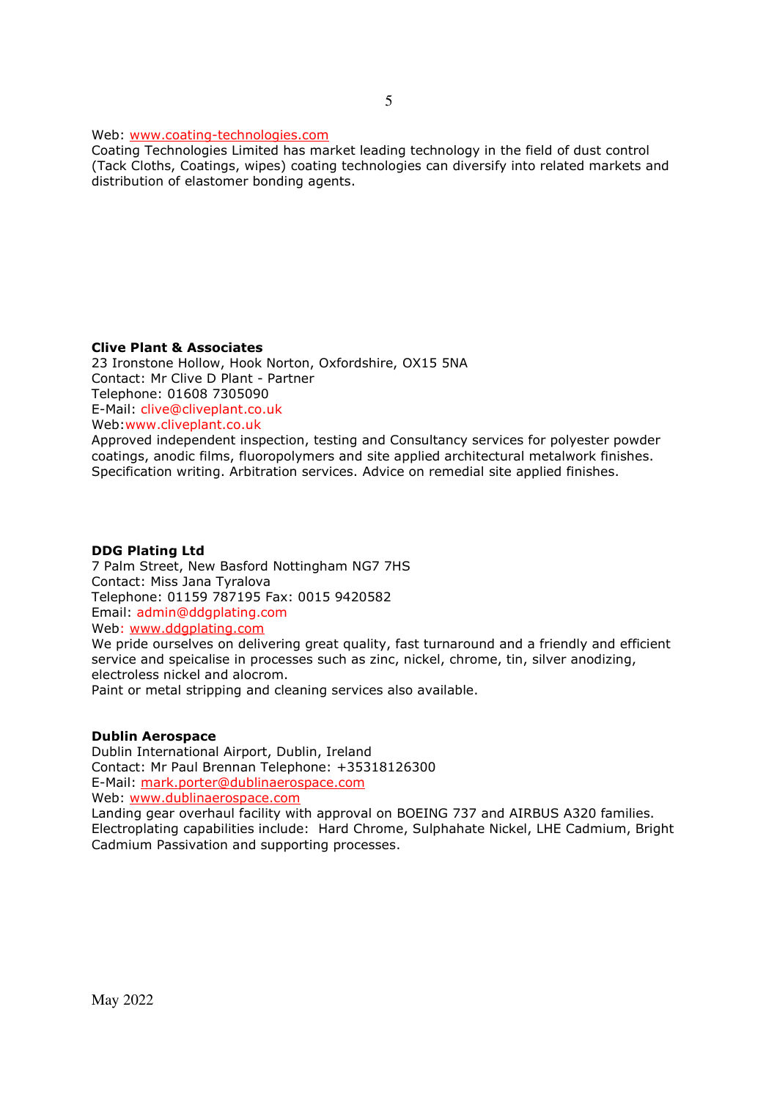Web: www.coating-technologies.com

Coating Technologies Limited has market leading technology in the field of dust control (Tack Cloths, Coatings, wipes) coating technologies can diversify into related markets and distribution of elastomer bonding agents.

# **Clive Plant & Associates**

23 Ironstone Hollow, Hook Norton, Oxfordshire, OX15 5NA Contact: Mr Clive D Plant - Partner Telephone: 01608 7305090 E-Mail: clive@cliveplant.co.uk Web:www.cliveplant.co.uk Approved independent inspection, testing and Consultancy services for polyester powder

coatings, anodic films, fluoropolymers and site applied architectural metalwork finishes. Specification writing. Arbitration services. Advice on remedial site applied finishes.

## **DDG Plating Ltd**

7 Palm Street, New Basford Nottingham NG7 7HS Contact: Miss Jana Tyralova Telephone: 01159 787195 Fax: 0015 9420582 Email: admin@ddgplating.com Web: www.ddgplating.com

We pride ourselves on delivering great quality, fast turnaround and a friendly and efficient service and speicalise in processes such as zinc, nickel, chrome, tin, silver anodizing, electroless nickel and alocrom.

Paint or metal stripping and cleaning services also available.

# **Dublin Aerospace**

Dublin International Airport, Dublin, Ireland Contact: Mr Paul Brennan Telephone: +35318126300 E-Mail: mark.porter@dublinaerospace.com

Web: www.dublinaerospace.com

Landing gear overhaul facility with approval on BOEING 737 and AIRBUS A320 families. Electroplating capabilities include: Hard Chrome, Sulphahate Nickel, LHE Cadmium, Bright Cadmium Passivation and supporting processes.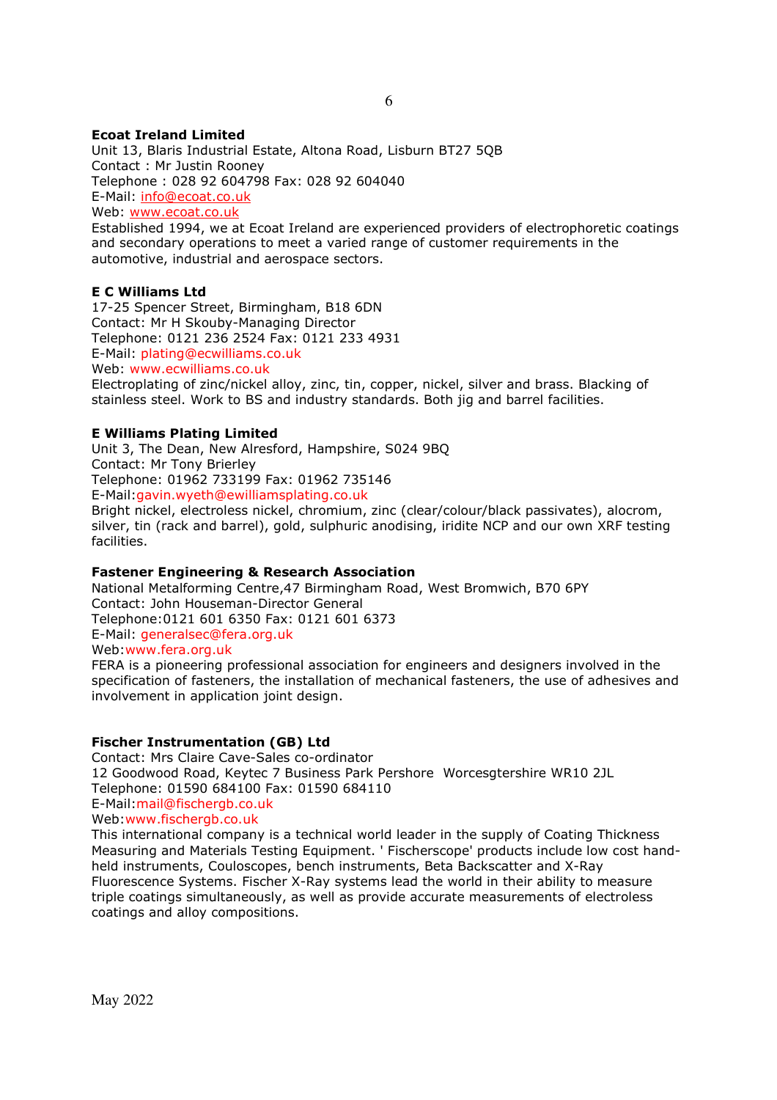# **Ecoat Ireland Limited**

Unit 13, Blaris Industrial Estate, Altona Road, Lisburn BT27 5QB Contact : Mr Justin Rooney Telephone : 028 92 604798 Fax: 028 92 604040 E-Mail: info@ecoat.co.uk Web: www.ecoat.co.uk Established 1994, we at Ecoat Ireland are experienced providers of electrophoretic coatings and secondary operations to meet a varied range of customer requirements in the

automotive, industrial and aerospace sectors.

# **E C Williams Ltd**

17-25 Spencer Street, Birmingham, B18 6DN Contact: Mr H Skouby-Managing Director Telephone: 0121 236 2524 Fax: 0121 233 4931 E-Mail: plating@ecwilliams.co.uk Web: www.ecwilliams.co.uk

Electroplating of zinc/nickel alloy, zinc, tin, copper, nickel, silver and brass. Blacking of stainless steel. Work to BS and industry standards. Both jig and barrel facilities.

#### **E Williams Plating Limited**

Unit 3, The Dean, New Alresford, Hampshire, S024 9BQ Contact: Mr Tony Brierley Telephone: 01962 733199 Fax: 01962 735146 E-Mail:gavin.wyeth@ewilliamsplating.co.uk Bright nickel, electroless nickel, chromium, zinc (clear/colour/black passivates), alocrom,

silver, tin (rack and barrel), gold, sulphuric anodising, iridite NCP and our own XRF testing facilities.

## **Fastener Engineering & Research Association**

National Metalforming Centre,47 Birmingham Road, West Bromwich, B70 6PY Contact: John Houseman-Director General Telephone:0121 601 6350 Fax: 0121 601 6373 E-Mail: generalsec@fera.org.uk Web:www.fera.org.uk

FERA is a pioneering professional association for engineers and designers involved in the specification of fasteners, the installation of mechanical fasteners, the use of adhesives and involvement in application joint design.

#### **Fischer Instrumentation (GB) Ltd**

Contact: Mrs Claire Cave-Sales co-ordinator 12 Goodwood Road, Keytec 7 Business Park Pershore Worcesgtershire WR10 2JL Telephone: 01590 684100 Fax: 01590 684110 E-Mail:mail@fischergb.co.uk Web:www.fischergb.co.uk This international company is a technical world leader in the supply of Coating Thickness

Measuring and Materials Testing Equipment. ' Fischerscope' products include low cost handheld instruments, Couloscopes, bench instruments, Beta Backscatter and X-Ray Fluorescence Systems. Fischer X-Ray systems lead the world in their ability to measure triple coatings simultaneously, as well as provide accurate measurements of electroless coatings and alloy compositions.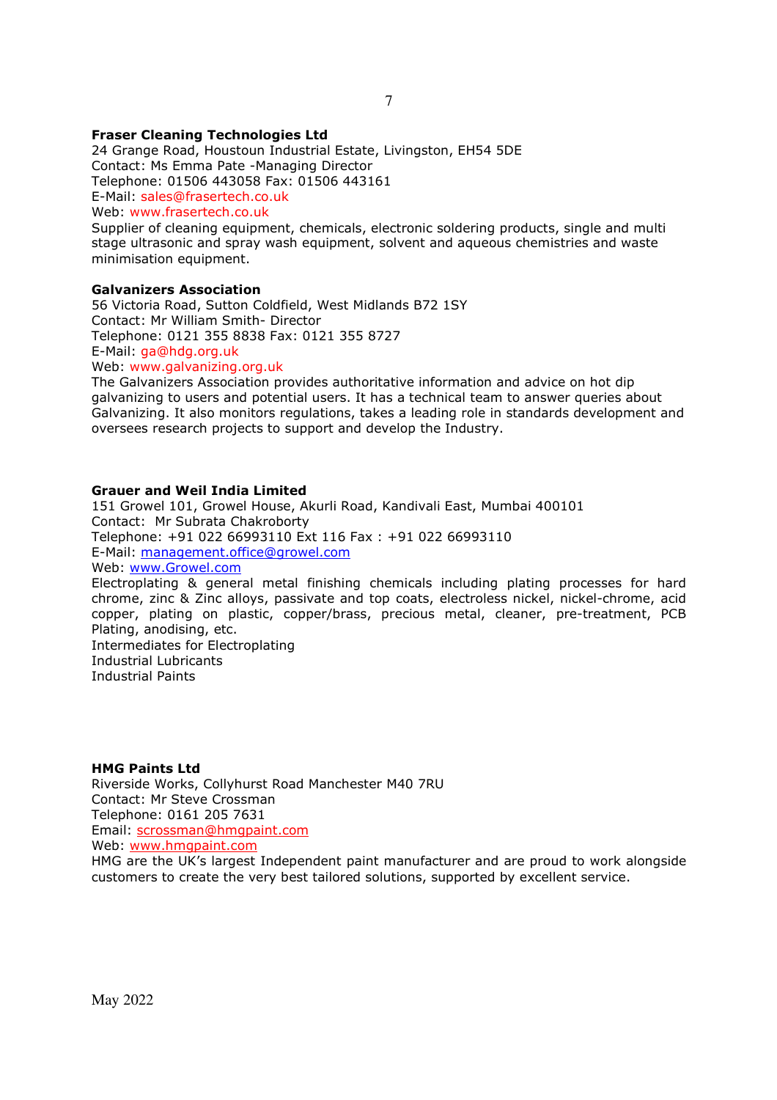# **Fraser Cleaning Technologies Ltd**

24 Grange Road, Houstoun Industrial Estate, Livingston, EH54 5DE Contact: Ms Emma Pate -Managing Director Telephone: 01506 443058 Fax: 01506 443161 E-Mail: sales@frasertech.co.uk

Web: www.frasertech.co.uk

Supplier of cleaning equipment, chemicals, electronic soldering products, single and multi stage ultrasonic and spray wash equipment, solvent and aqueous chemistries and waste minimisation equipment.

### **Galvanizers Association**

56 Victoria Road, Sutton Coldfield, West Midlands B72 1SY Contact: Mr William Smith- Director Telephone: 0121 355 8838 Fax: 0121 355 8727 E-Mail: ga@hdg.org.uk Web: www.galvanizing.org.uk

The Galvanizers Association provides authoritative information and advice on hot dip galvanizing to users and potential users. It has a technical team to answer queries about Galvanizing. It also monitors regulations, takes a leading role in standards development and oversees research projects to support and develop the Industry.

#### **Grauer and Weil India Limited**

151 Growel 101, Growel House, Akurli Road, Kandivali East, Mumbai 400101 Contact: Mr Subrata Chakroborty Telephone: +91 022 66993110 Ext 116 Fax : +91 022 66993110 E-Mail: management.office@growel.com Web: www.Growel.com Electroplating & general metal finishing chemicals including plating processes for hard chrome, zinc & Zinc alloys, passivate and top coats, electroless nickel, nickel-chrome, acid copper, plating on plastic, copper/brass, precious metal, cleaner, pre-treatment, PCB Plating, anodising, etc. Intermediates for Electroplating Industrial Lubricants Industrial Paints

#### **HMG Paints Ltd**

Riverside Works, Collyhurst Road Manchester M40 7RU Contact: Mr Steve Crossman Telephone: 0161 205 7631 Email: scrossman@hmgpaint.com Web: www.hmgpaint.com

HMG are the UK's largest Independent paint manufacturer and are proud to work alongside customers to create the very best tailored solutions, supported by excellent service.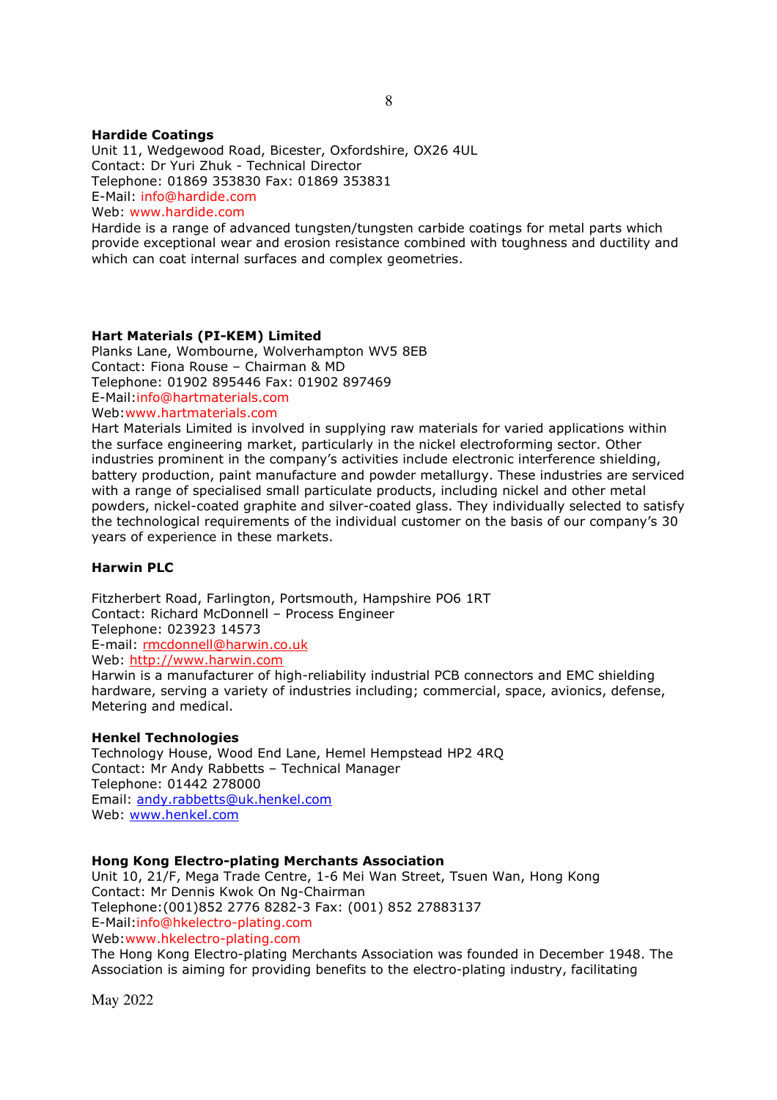#### **Hardide Coatings**

Unit 11, Wedgewood Road, Bicester, Oxfordshire, OX26 4UL Contact: Dr Yuri Zhuk - Technical Director Telephone: 01869 353830 Fax: 01869 353831 E-Mail: info@hardide.com Web: www.hardide.com

Hardide is a range of advanced tungsten/tungsten carbide coatings for metal parts which provide exceptional wear and erosion resistance combined with toughness and ductility and which can coat internal surfaces and complex geometries.

# **Hart Materials (PI-KEM) Limited**

Planks Lane, Wombourne, Wolverhampton WV5 8EB Contact: Fiona Rouse – Chairman & MD Telephone: 01902 895446 Fax: 01902 897469 E-Mail:info@hartmaterials.com

Web:www.hartmaterials.com

Hart Materials Limited is involved in supplying raw materials for varied applications within the surface engineering market, particularly in the nickel electroforming sector. Other industries prominent in the company's activities include electronic interference shielding, battery production, paint manufacture and powder metallurgy. These industries are serviced with a range of specialised small particulate products, including nickel and other metal powders, nickel-coated graphite and silver-coated glass. They individually selected to satisfy the technological requirements of the individual customer on the basis of our company's 30 years of experience in these markets.

## **Harwin PLC**

Fitzherbert Road, Farlington, Portsmouth, Hampshire PO6 1RT Contact: Richard McDonnell – Process Engineer Telephone: 023923 14573 E-mail: rmcdonnell@harwin.co.uk Web: http://www.harwin.com

Harwin is a manufacturer of high-reliability industrial PCB connectors and EMC shielding hardware, serving a variety of industries including; commercial, space, avionics, defense, Metering and medical.

#### **Henkel Technologies**

Technology House, Wood End Lane, Hemel Hempstead HP2 4RQ Contact: Mr Andy Rabbetts – Technical Manager Telephone: 01442 278000 Email: andy.rabbetts@uk.henkel.com Web: www.henkel.com

#### **Hong Kong Electro-plating Merchants Association**

Unit 10, 21/F, Mega Trade Centre, 1-6 Mei Wan Street, Tsuen Wan, Hong Kong Contact: Mr Dennis Kwok On Ng-Chairman Telephone:(001)852 2776 8282-3 Fax: (001) 852 27883137 E-Mail:info@hkelectro-plating.com Web:www.hkelectro-plating.com

The Hong Kong Electro-plating Merchants Association was founded in December 1948. The Association is aiming for providing benefits to the electro-plating industry, facilitating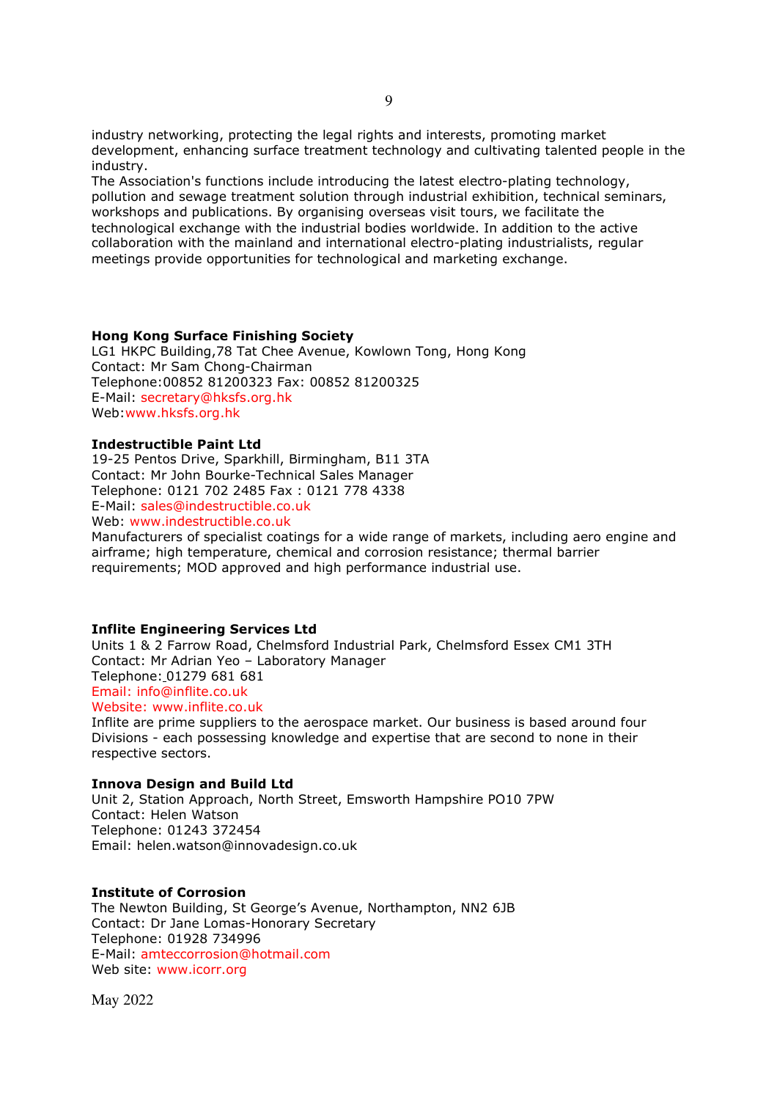industry networking, protecting the legal rights and interests, promoting market development, enhancing surface treatment technology and cultivating talented people in the industry.

The Association's functions include introducing the latest electro-plating technology, pollution and sewage treatment solution through industrial exhibition, technical seminars, workshops and publications. By organising overseas visit tours, we facilitate the technological exchange with the industrial bodies worldwide. In addition to the active collaboration with the mainland and international electro-plating industrialists, regular meetings provide opportunities for technological and marketing exchange.

#### **Hong Kong Surface Finishing Society**

LG1 HKPC Building,78 Tat Chee Avenue, Kowlown Tong, Hong Kong Contact: Mr Sam Chong-Chairman Telephone:00852 81200323 Fax: 00852 81200325 E-Mail: secretary@hksfs.org.hk Web:www.hksfs.org.hk

#### **Indestructible Paint Ltd**

19-25 Pentos Drive, Sparkhill, Birmingham, B11 3TA Contact: Mr John Bourke-Technical Sales Manager Telephone: 0121 702 2485 Fax : 0121 778 4338 E-Mail: sales@indestructible.co.uk Web: www.indestructible.co.uk

Manufacturers of specialist coatings for a wide range of markets, including aero engine and airframe; high temperature, chemical and corrosion resistance; thermal barrier requirements; MOD approved and high performance industrial use.

#### **Inflite Engineering Services Ltd**

Units 1 & 2 Farrow Road, Chelmsford Industrial Park, Chelmsford Essex CM1 3TH Contact: Mr Adrian Yeo – Laboratory Manager Telephone: 01279 681 681 Email: info@inflite.co.uk Website: www.inflite.co.uk Inflite are prime suppliers to the aerospace market. Our business is based around four

Divisions - each possessing knowledge and expertise that are second to none in their respective sectors.

#### **Innova Design and Build Ltd**

Unit 2, Station Approach, North Street, Emsworth Hampshire PO10 7PW Contact: Helen Watson Telephone: 01243 372454 Email: helen.watson@innovadesign.co.uk

# **Institute of Corrosion**

The Newton Building, St George's Avenue, Northampton, NN2 6JB Contact: Dr Jane Lomas-Honorary Secretary Telephone: 01928 734996 E-Mail: amteccorrosion@hotmail.com Web site: www.icorr.org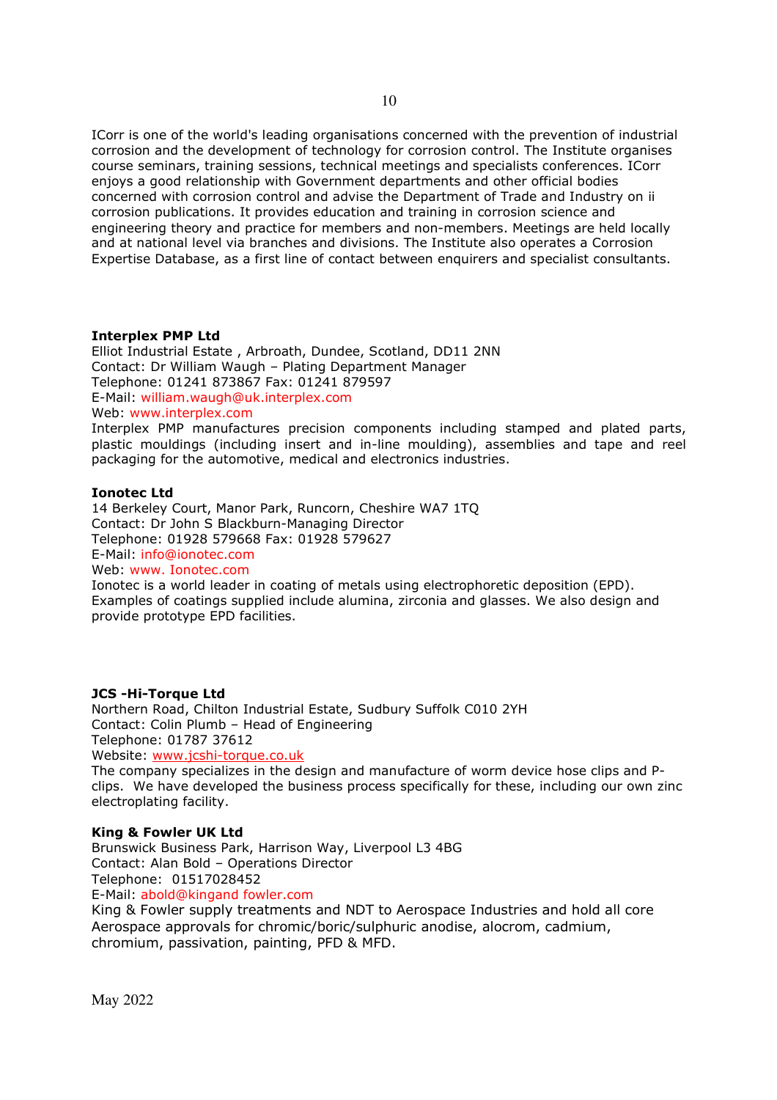ICorr is one of the world's leading organisations concerned with the prevention of industrial corrosion and the development of technology for corrosion control. The Institute organises course seminars, training sessions, technical meetings and specialists conferences. ICorr enjoys a good relationship with Government departments and other official bodies concerned with corrosion control and advise the Department of Trade and Industry on ii corrosion publications. It provides education and training in corrosion science and engineering theory and practice for members and non-members. Meetings are held locally and at national level via branches and divisions. The Institute also operates a Corrosion Expertise Database, as a first line of contact between enquirers and specialist consultants.

#### **Interplex PMP Ltd**

Elliot Industrial Estate , Arbroath, Dundee, Scotland, DD11 2NN Contact: Dr William Waugh – Plating Department Manager Telephone: 01241 873867 Fax: 01241 879597 E-Mail: william.waugh@uk.interplex.com Web: www.interplex.com Interplex PMP manufactures precision components including stamped and plated parts,

plastic mouldings (including insert and in-line moulding), assemblies and tape and reel packaging for the automotive, medical and electronics industries.

#### **Ionotec Ltd**

14 Berkeley Court, Manor Park, Runcorn, Cheshire WA7 1TQ Contact: Dr John S Blackburn-Managing Director Telephone: 01928 579668 Fax: 01928 579627 E-Mail: info@ionotec.com Web: www. Ionotec.com Ionotec is a world leader in coating of metals using electrophoretic deposition (EPD).

Examples of coatings supplied include alumina, zirconia and glasses. We also design and provide prototype EPD facilities.

#### **JCS -Hi-Torque Ltd**

Northern Road, Chilton Industrial Estate, Sudbury Suffolk C010 2YH Contact: Colin Plumb – Head of Engineering Telephone: 01787 37612 Website: www.jcshi-torque.co.uk

The company specializes in the design and manufacture of worm device hose clips and Pclips. We have developed the business process specifically for these, including our own zinc electroplating facility.

# **King & Fowler UK Ltd**

Brunswick Business Park, Harrison Way, Liverpool L3 4BG Contact: Alan Bold – Operations Director Telephone: 01517028452 E-Mail: abold@kingand fowler.com King & Fowler supply treatments and NDT to Aerospace Industries and hold all core Aerospace approvals for chromic/boric/sulphuric anodise, alocrom, cadmium, chromium, passivation, painting, PFD & MFD.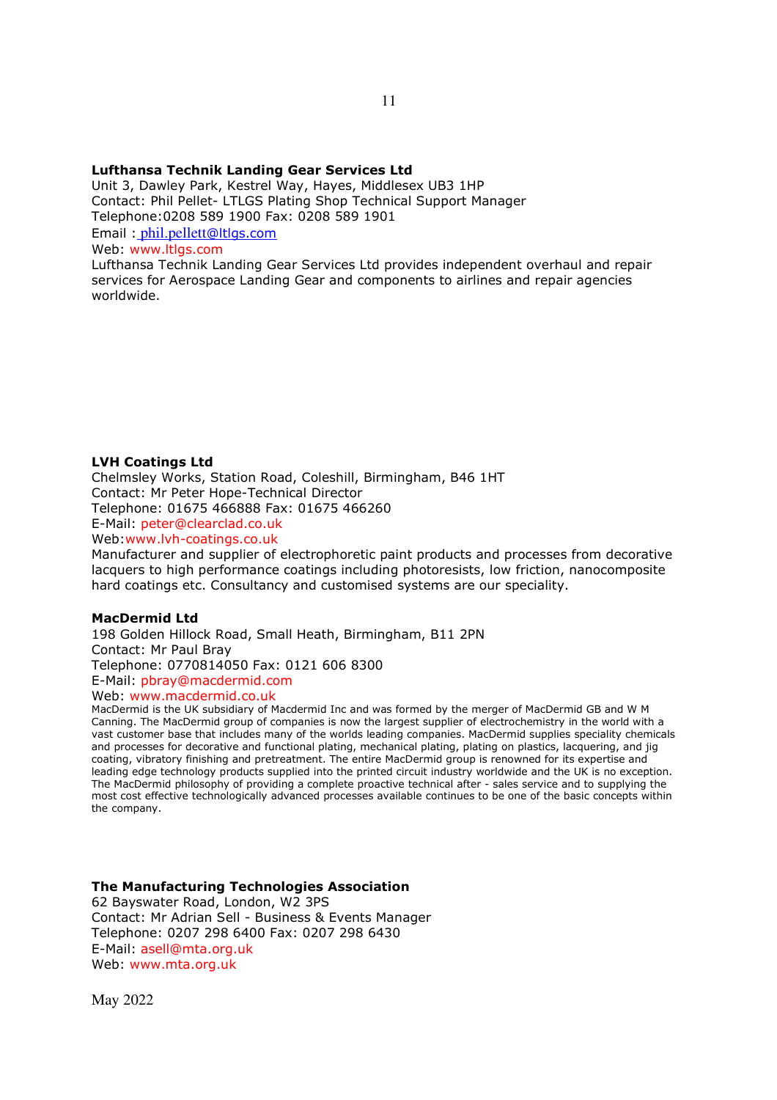#### **Lufthansa Technik Landing Gear Services Ltd**

Unit 3, Dawley Park, Kestrel Way, Hayes, Middlesex UB3 1HP Contact: Phil Pellet- LTLGS Plating Shop Technical Support Manager Telephone:0208 589 1900 Fax: 0208 589 1901 Email : phil.pellett@ltlgs.com Web: www.ltlgs.com

Lufthansa Technik Landing Gear Services Ltd provides independent overhaul and repair services for Aerospace Landing Gear and components to airlines and repair agencies worldwide.

#### **LVH Coatings Ltd**

Chelmsley Works, Station Road, Coleshill, Birmingham, B46 1HT Contact: Mr Peter Hope-Technical Director Telephone: 01675 466888 Fax: 01675 466260 E-Mail: peter@clearclad.co.uk Web:www.lvh-coatings.co.uk

Manufacturer and supplier of electrophoretic paint products and processes from decorative lacquers to high performance coatings including photoresists, low friction, nanocomposite hard coatings etc. Consultancy and customised systems are our speciality.

#### **MacDermid Ltd**

198 Golden Hillock Road, Small Heath, Birmingham, B11 2PN Contact: Mr Paul Bray Telephone: 0770814050 Fax: 0121 606 8300 E-Mail: pbray@macdermid.com

Web: www.macdermid.co.uk

MacDermid is the UK subsidiary of Macdermid Inc and was formed by the merger of MacDermid GB and W M Canning. The MacDermid group of companies is now the largest supplier of electrochemistry in the world with a vast customer base that includes many of the worlds leading companies. MacDermid supplies speciality chemicals and processes for decorative and functional plating, mechanical plating, plating on plastics, lacquering, and jig coating, vibratory finishing and pretreatment. The entire MacDermid group is renowned for its expertise and leading edge technology products supplied into the printed circuit industry worldwide and the UK is no exception. The MacDermid philosophy of providing a complete proactive technical after - sales service and to supplying the most cost effective technologically advanced processes available continues to be one of the basic concepts within the company.

#### **The Manufacturing Technologies Association**

62 Bayswater Road, London, W2 3PS Contact: Mr Adrian Sell - Business & Events Manager Telephone: 0207 298 6400 Fax: 0207 298 6430 E-Mail: asell@mta.org.uk Web: www.mta.org.uk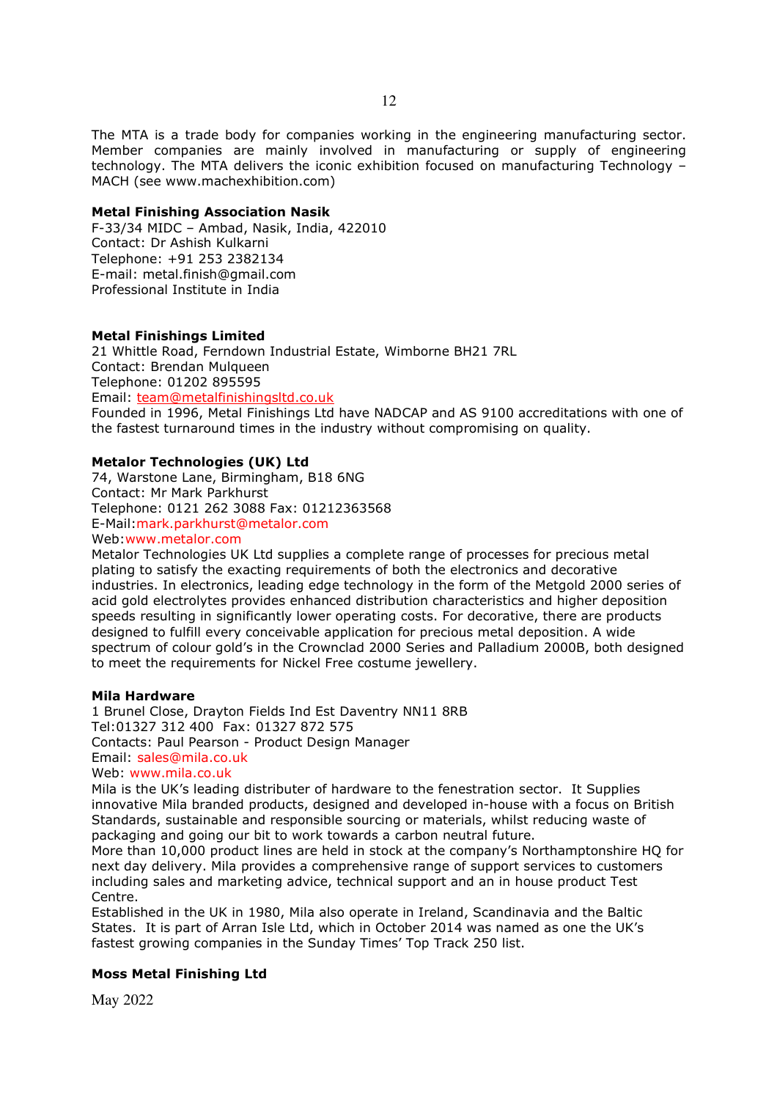The MTA is a trade body for companies working in the engineering manufacturing sector. Member companies are mainly involved in manufacturing or supply of engineering technology. The MTA delivers the iconic exhibition focused on manufacturing Technology – MACH (see www.machexhibition.com)

### **Metal Finishing Association Nasik**

F-33/34 MIDC – Ambad, Nasik, India, 422010 Contact: Dr Ashish Kulkarni Telephone: +91 253 2382134 E-mail: metal.finish@gmail.com Professional Institute in India

# **Metal Finishings Limited**

21 Whittle Road, Ferndown Industrial Estate, Wimborne BH21 7RL Contact: Brendan Mulqueen Telephone: 01202 895595 Email: team@metalfinishingsltd.co.uk Founded in 1996, Metal Finishings Ltd have NADCAP and AS 9100 accreditations with one of the fastest turnaround times in the industry without compromising on quality.

# **Metalor Technologies (UK) Ltd**

74, Warstone Lane, Birmingham, B18 6NG Contact: Mr Mark Parkhurst Telephone: 0121 262 3088 Fax: 01212363568 E-Mail:mark.parkhurst@metalor.com Web:www.metalor.com

Metalor Technologies UK Ltd supplies a complete range of processes for precious metal plating to satisfy the exacting requirements of both the electronics and decorative industries. In electronics, leading edge technology in the form of the Metgold 2000 series of acid gold electrolytes provides enhanced distribution characteristics and higher deposition speeds resulting in significantly lower operating costs. For decorative, there are products designed to fulfill every conceivable application for precious metal deposition. A wide spectrum of colour gold's in the Crownclad 2000 Series and Palladium 2000B, both designed to meet the requirements for Nickel Free costume jewellery.

# **Mila Hardware**

1 Brunel Close, Drayton Fields Ind Est Daventry NN11 8RB Tel:01327 312 400 Fax: 01327 872 575 Contacts: Paul Pearson - Product Design Manager Email: sales@mila.co.uk Web: www.mila.co.uk

Mila is the UK's leading distributer of hardware to the fenestration sector. It Supplies innovative Mila branded products, designed and developed in-house with a focus on British Standards, sustainable and responsible sourcing or materials, whilst reducing waste of packaging and going our bit to work towards a carbon neutral future.

More than 10,000 product lines are held in stock at the company's Northamptonshire HQ for next day delivery. Mila provides a comprehensive range of support services to customers including sales and marketing advice, technical support and an in house product Test Centre.

Established in the UK in 1980, Mila also operate in Ireland, Scandinavia and the Baltic States. It is part of Arran Isle Ltd, which in October 2014 was named as one the UK's fastest growing companies in the Sunday Times' Top Track 250 list.

# **Moss Metal Finishing Ltd**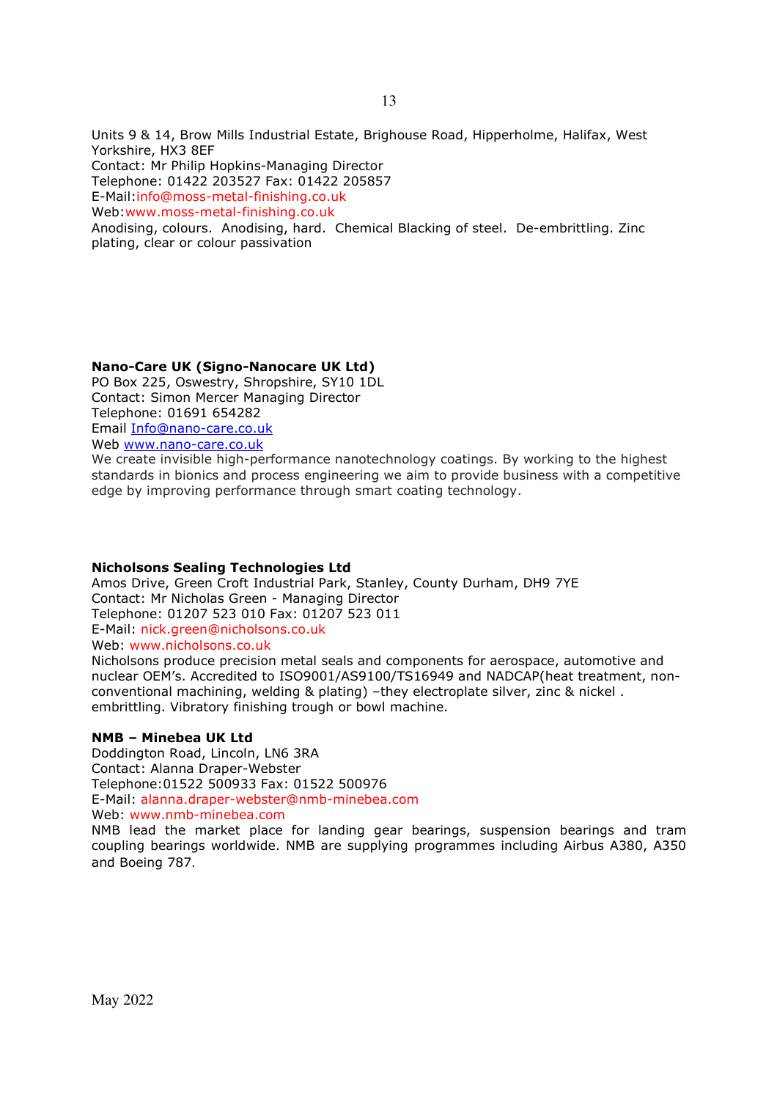Units 9 & 14, Brow Mills Industrial Estate, Brighouse Road, Hipperholme, Halifax, West Yorkshire, HX3 8EF

Contact: Mr Philip Hopkins-Managing Director

Telephone: 01422 203527 Fax: 01422 205857

E-Mail:info@moss-metal-finishing.co.uk

Web:www.moss-metal-finishing.co.uk

Anodising, colours. Anodising, hard. Chemical Blacking of steel. De-embrittling. Zinc plating, clear or colour passivation

# **Nano-Care UK (Signo-Nanocare UK Ltd)**

PO Box 225, Oswestry, Shropshire, SY10 1DL Contact: Simon Mercer Managing Director Telephone: 01691 654282 Email Info@nano-care.co.uk Web www.nano-care.co.uk

We create invisible high-performance nanotechnology coatings. By working to the highest standards in bionics and process engineering we aim to provide business with a competitive edge by improving performance through smart coating technology.

# **Nicholsons Sealing Technologies Ltd**

Amos Drive, Green Croft Industrial Park, Stanley, County Durham, DH9 7YE Contact: Mr Nicholas Green - Managing Director Telephone: 01207 523 010 Fax: 01207 523 011 E-Mail: nick.green@nicholsons.co.uk Web: www.nicholsons.co.uk

Nicholsons produce precision metal seals and components for aerospace, automotive and nuclear OEM's. Accredited to ISO9001/AS9100/TS16949 and NADCAP(heat treatment, nonconventional machining, welding & plating) –they electroplate silver, zinc & nickel . embrittling. Vibratory finishing trough or bowl machine.

# **NMB – Minebea UK Ltd**

Doddington Road, Lincoln, LN6 3RA Contact: Alanna Draper-Webster Telephone:01522 500933 Fax: 01522 500976 E-Mail: alanna.draper-webster@nmb-minebea.com Web: www.nmb-minebea.com

NMB lead the market place for landing gear bearings, suspension bearings and tram coupling bearings worldwide. NMB are supplying programmes including Airbus A380, A350 and Boeing 787.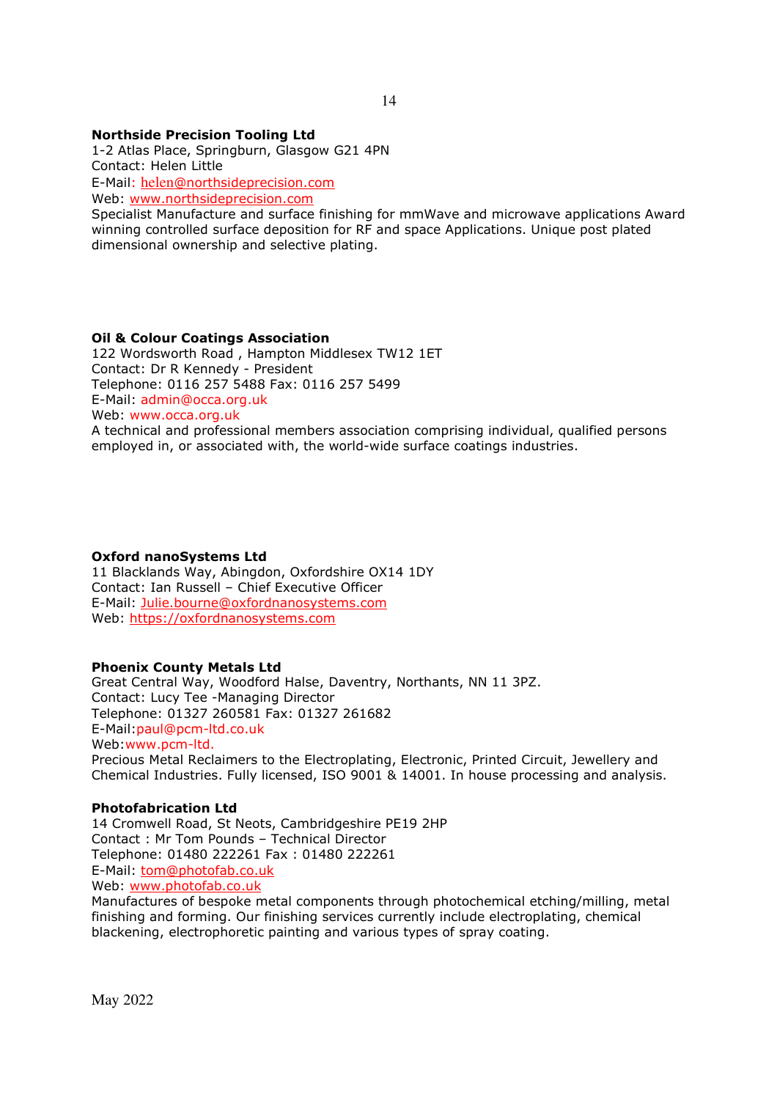# **Northside Precision Tooling Ltd**

1-2 Atlas Place, Springburn, Glasgow G21 4PN Contact: Helen Little E-Mail: helen@northsideprecision.com Web: www.northsideprecision.com

Specialist Manufacture and surface finishing for mmWave and microwave applications Award winning controlled surface deposition for RF and space Applications. Unique post plated dimensional ownership and selective plating.

# **Oil & Colour Coatings Association**

122 Wordsworth Road , Hampton Middlesex TW12 1ET Contact: Dr R Kennedy - President Telephone: 0116 257 5488 Fax: 0116 257 5499 E-Mail: admin@occa.org.uk Web: www.occa.org.uk

A technical and professional members association comprising individual, qualified persons employed in, or associated with, the world-wide surface coatings industries.

#### **Oxford nanoSystems Ltd**

11 Blacklands Way, Abingdon, Oxfordshire OX14 1DY Contact: Ian Russell – Chief Executive Officer E-Mail: Julie.bourne@oxfordnanosystems.com Web: https://oxfordnanosystems.com

#### **Phoenix County Metals Ltd**

Great Central Way, Woodford Halse, Daventry, Northants, NN 11 3PZ. Contact: Lucy Tee -Managing Director Telephone: 01327 260581 Fax: 01327 261682 E-Mail:paul@pcm-ltd.co.uk Web:www.pcm-ltd. Precious Metal Reclaimers to the Electroplating, Electronic, Printed Circuit, Jewellery and Chemical Industries. Fully licensed, ISO 9001 & 14001. In house processing and analysis.

#### **Photofabrication Ltd**

14 Cromwell Road, St Neots, Cambridgeshire PE19 2HP Contact : Mr Tom Pounds – Technical Director Telephone: 01480 222261 Fax : 01480 222261 E-Mail: tom@photofab.co.uk Web: www.photofab.co.uk

Manufactures of bespoke metal components through photochemical etching/milling, metal finishing and forming. Our finishing services currently include electroplating, chemical blackening, electrophoretic painting and various types of spray coating.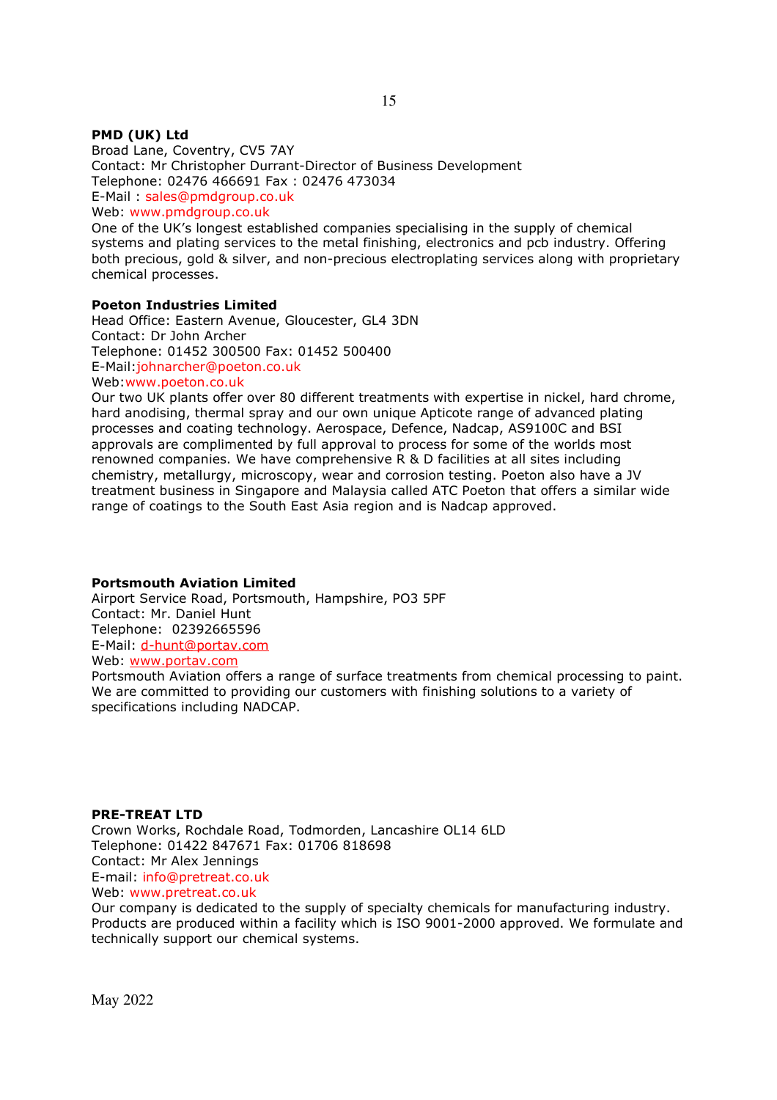## **PMD (UK) Ltd**

Broad Lane, Coventry, CV5 7AY Contact: Mr Christopher Durrant-Director of Business Development Telephone: 02476 466691 Fax : 02476 473034 E-Mail : sales@pmdgroup.co.uk Web: www.pmdgroup.co.uk

One of the UK's longest established companies specialising in the supply of chemical systems and plating services to the metal finishing, electronics and pcb industry. Offering both precious, gold & silver, and non-precious electroplating services along with proprietary chemical processes.

#### **Poeton Industries Limited**

Head Office: Eastern Avenue, Gloucester, GL4 3DN Contact: Dr John Archer Telephone: 01452 300500 Fax: 01452 500400 E-Mail:johnarcher@poeton.co.uk Web:www.poeton.co.uk

Our two UK plants offer over 80 different treatments with expertise in nickel, hard chrome, hard anodising, thermal spray and our own unique Apticote range of advanced plating processes and coating technology. Aerospace, Defence, Nadcap, AS9100C and BSI approvals are complimented by full approval to process for some of the worlds most renowned companies. We have comprehensive R & D facilities at all sites including chemistry, metallurgy, microscopy, wear and corrosion testing. Poeton also have a JV treatment business in Singapore and Malaysia called ATC Poeton that offers a similar wide range of coatings to the South East Asia region and is Nadcap approved.

#### **Portsmouth Aviation Limited**

Airport Service Road, Portsmouth, Hampshire, PO3 5PF Contact: Mr. Daniel Hunt Telephone: 02392665596 E-Mail: d-hunt@portav.com Web: www.portav.com

Portsmouth Aviation offers a range of surface treatments from chemical processing to paint. We are committed to providing our customers with finishing solutions to a variety of specifications including NADCAP.

#### **PRE-TREAT LTD**

Crown Works, Rochdale Road, Todmorden, Lancashire OL14 6LD Telephone: 01422 847671 Fax: 01706 818698 Contact: Mr Alex Jennings E-mail: info@pretreat.co.uk Web: www.pretreat.co.uk

Our company is dedicated to the supply of specialty chemicals for manufacturing industry. Products are produced within a facility which is ISO 9001-2000 approved. We formulate and technically support our chemical systems.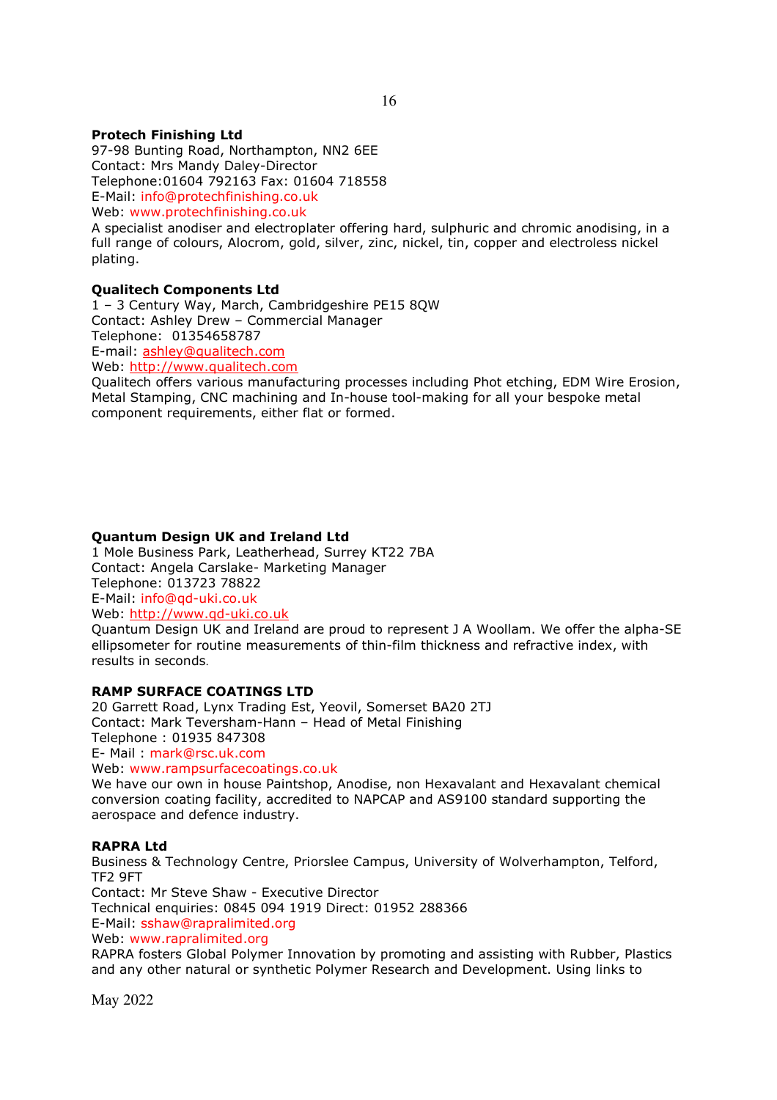# **Protech Finishing Ltd**

97-98 Bunting Road, Northampton, NN2 6EE Contact: Mrs Mandy Daley-Director Telephone:01604 792163 Fax: 01604 718558 E-Mail: info@protechfinishing.co.uk

Web: www.protechfinishing.co.uk

A specialist anodiser and electroplater offering hard, sulphuric and chromic anodising, in a full range of colours, Alocrom, gold, silver, zinc, nickel, tin, copper and electroless nickel plating.

# **Qualitech Components Ltd**

1 – 3 Century Way, March, Cambridgeshire PE15 8QW Contact: Ashley Drew – Commercial Manager Telephone: 01354658787 E-mail: ashley@qualitech.com Web: http://www.qualitech.com

Qualitech offers various manufacturing processes including Phot etching, EDM Wire Erosion, Metal Stamping, CNC machining and In-house tool-making for all your bespoke metal component requirements, either flat or formed.

# **Quantum Design UK and Ireland Ltd**

1 Mole Business Park, Leatherhead, Surrey KT22 7BA Contact: Angela Carslake- Marketing Manager Telephone: 013723 78822 E-Mail: info@qd-uki.co.uk Web: http://www.qd-uki.co.uk

Quantum Design UK and Ireland are proud to represent J A Woollam. We offer the alpha-SE ellipsometer for routine measurements of thin-film thickness and refractive index, with results in seconds.

# **RAMP SURFACE COATINGS LTD**

20 Garrett Road, Lynx Trading Est, Yeovil, Somerset BA20 2TJ Contact: Mark Teversham-Hann – Head of Metal Finishing Telephone : 01935 847308 E- Mail : mark@rsc.uk.com

Web: www.rampsurfacecoatings.co.uk

We have our own in house Paintshop, Anodise, non Hexavalant and Hexavalant chemical conversion coating facility, accredited to NAPCAP and AS9100 standard supporting the aerospace and defence industry.

#### **RAPRA Ltd**

Business & Technology Centre, Priorslee Campus, University of Wolverhampton, Telford, TF2 9FT Contact: Mr Steve Shaw - Executive Director Technical enquiries: 0845 094 1919 Direct: 01952 288366 E-Mail: sshaw@rapralimited.org Web: www.rapralimited.org RAPRA fosters Global Polymer Innovation by promoting and assisting with Rubber, Plastics

and any other natural or synthetic Polymer Research and Development. Using links to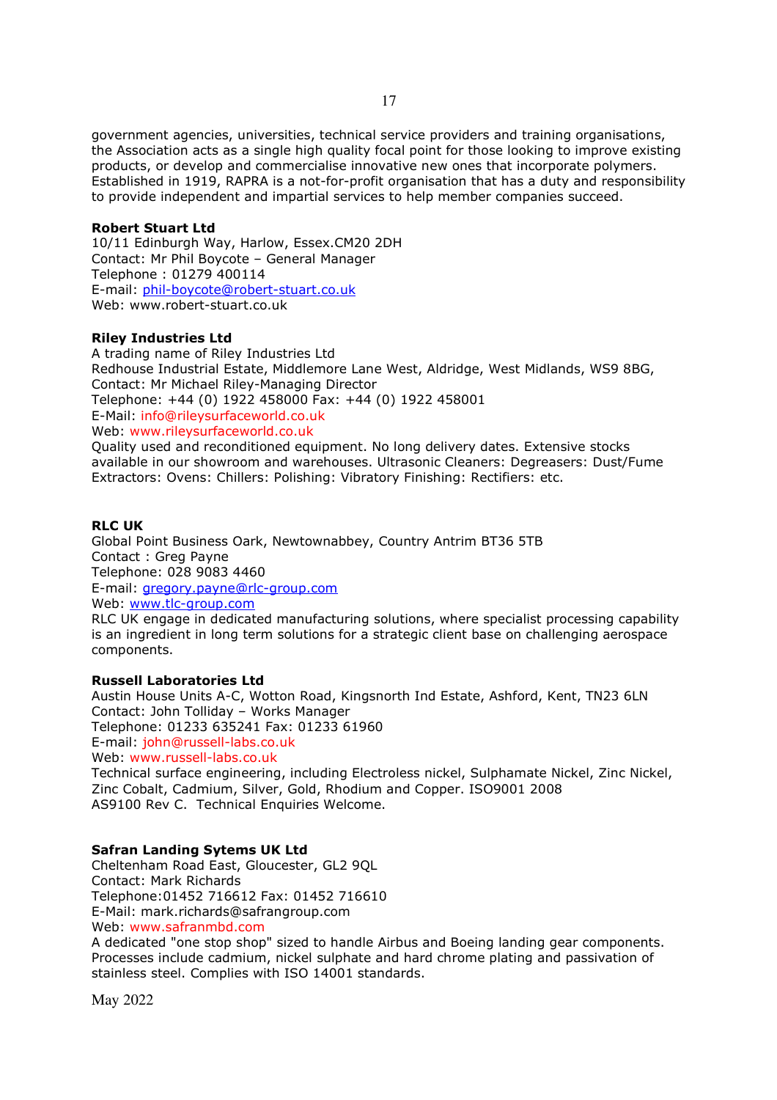government agencies, universities, technical service providers and training organisations, the Association acts as a single high quality focal point for those looking to improve existing products, or develop and commercialise innovative new ones that incorporate polymers. Established in 1919, RAPRA is a not-for-profit organisation that has a duty and responsibility to provide independent and impartial services to help member companies succeed.

# **Robert Stuart Ltd**

10/11 Edinburgh Way, Harlow, Essex.CM20 2DH Contact: Mr Phil Boycote – General Manager Telephone : 01279 400114 E-mail: phil-boycote@robert-stuart.co.uk Web: www.robert-stuart.co.uk

# **Riley Industries Ltd**

A trading name of Riley Industries Ltd Redhouse Industrial Estate, Middlemore Lane West, Aldridge, West Midlands, WS9 8BG, Contact: Mr Michael Riley-Managing Director Telephone: +44 (0) 1922 458000 Fax: +44 (0) 1922 458001 E-Mail: info@rileysurfaceworld.co.uk Web: www.rileysurfaceworld.co.uk Quality used and reconditioned equipment. No long delivery dates. Extensive stocks

available in our showroom and warehouses. Ultrasonic Cleaners: Degreasers: Dust/Fume Extractors: Ovens: Chillers: Polishing: Vibratory Finishing: Rectifiers: etc.

# **RLC UK**

Global Point Business Oark, Newtownabbey, Country Antrim BT36 5TB Contact : Greg Payne Telephone: 028 9083 4460 E-mail: gregory.payne@rlc-group.com Web: www.tlc-group.com RLC UK engage in dedicated manufacturing solutions, where specialist processing capability

is an ingredient in long term solutions for a strategic client base on challenging aerospace components.

#### **Russell Laboratories Ltd**

Austin House Units A-C, Wotton Road, Kingsnorth Ind Estate, Ashford, Kent, TN23 6LN Contact: John Tolliday – Works Manager Telephone: 01233 635241 Fax: 01233 61960 E-mail: john@russell-labs.co.uk Web: www.russell-labs.co.uk

Technical surface engineering, including Electroless nickel, Sulphamate Nickel, Zinc Nickel, Zinc Cobalt, Cadmium, Silver, Gold, Rhodium and Copper. ISO9001 2008 AS9100 Rev C. Technical Enquiries Welcome.

# **Safran Landing Sytems UK Ltd**

Cheltenham Road East, Gloucester, GL2 9QL Contact: Mark Richards Telephone:01452 716612 Fax: 01452 716610 E-Mail: mark.richards@safrangroup.com Web: www.safranmbd.com

A dedicated "one stop shop" sized to handle Airbus and Boeing landing gear components. Processes include cadmium, nickel sulphate and hard chrome plating and passivation of stainless steel. Complies with ISO 14001 standards.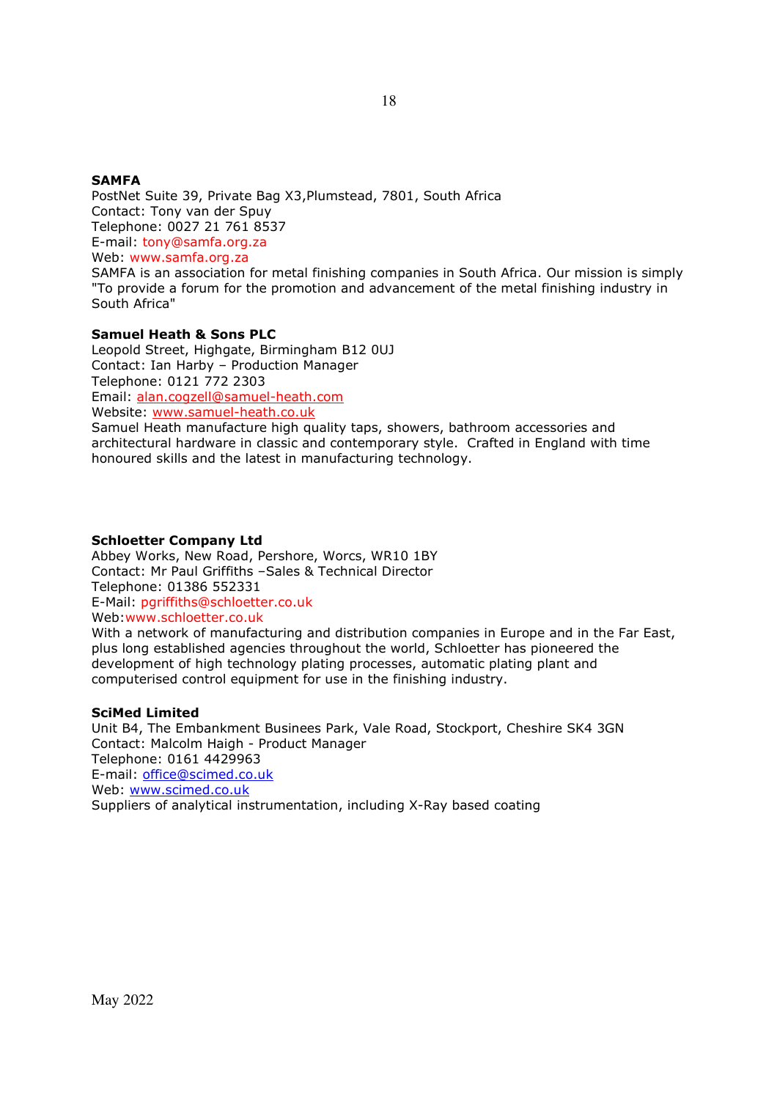# **SAMFA**

PostNet Suite 39, Private Bag X3,Plumstead, 7801, South Africa Contact: Tony van der Spuy Telephone: 0027 21 761 8537 E-mail: tony@samfa.org.za Web: www.samfa.org.za

SAMFA is an association for metal finishing companies in South Africa. Our mission is simply "To provide a forum for the promotion and advancement of the metal finishing industry in South Africa"

# **Samuel Heath & Sons PLC**

Leopold Street, Highgate, Birmingham B12 0UJ Contact: Ian Harby – Production Manager Telephone: 0121 772 2303 Email: alan.cogzell@samuel-heath.com Website: www.samuel-heath.co.uk

Samuel Heath manufacture high quality taps, showers, bathroom accessories and architectural hardware in classic and contemporary style. Crafted in England with time honoured skills and the latest in manufacturing technology.

#### **Schloetter Company Ltd**

Abbey Works, New Road, Pershore, Worcs, WR10 1BY Contact: Mr Paul Griffiths –Sales & Technical Director Telephone: 01386 552331 E-Mail: pgriffiths@schloetter.co.uk Web:www.schloetter.co.uk

With a network of manufacturing and distribution companies in Europe and in the Far East, plus long established agencies throughout the world, Schloetter has pioneered the development of high technology plating processes, automatic plating plant and computerised control equipment for use in the finishing industry.

#### **SciMed Limited**

Unit B4, The Embankment Businees Park, Vale Road, Stockport, Cheshire SK4 3GN Contact: Malcolm Haigh - Product Manager Telephone: 0161 4429963 E-mail: office@scimed.co.uk Web: www.scimed.co.uk Suppliers of analytical instrumentation, including X-Ray based coating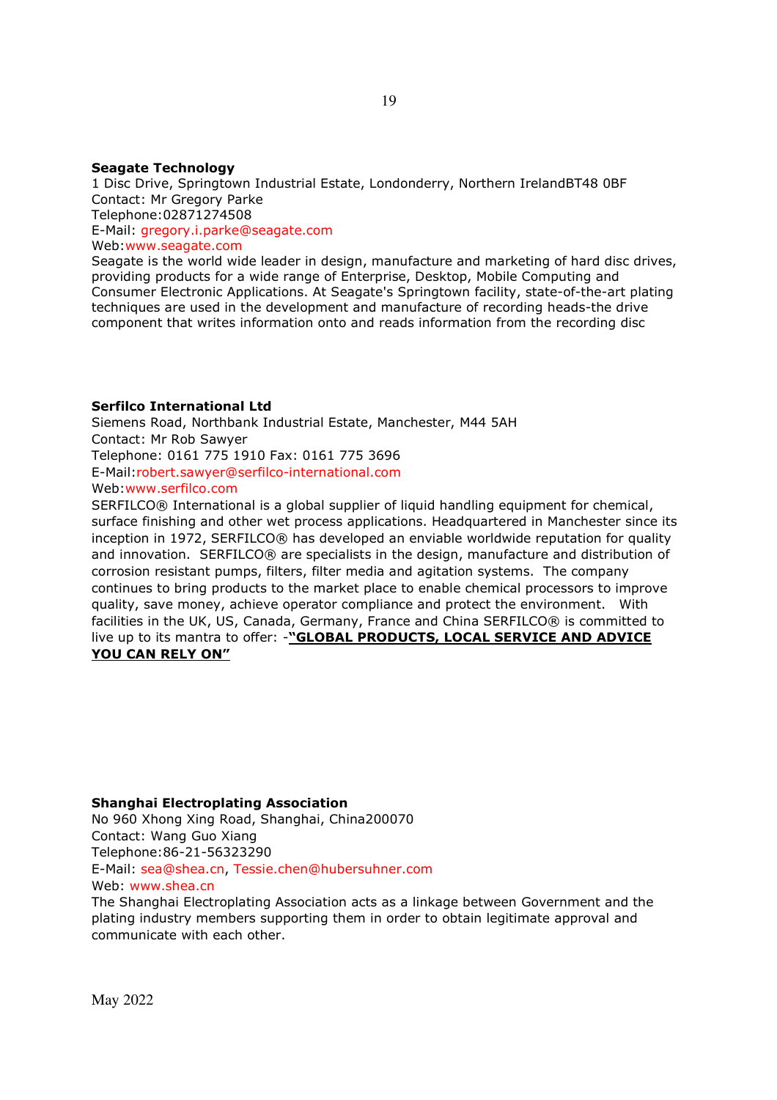#### **Seagate Technology**

1 Disc Drive, Springtown Industrial Estate, Londonderry, Northern IrelandBT48 0BF Contact: Mr Gregory Parke Telephone:02871274508 E-Mail: gregory.i.parke@seagate.com Web:www.seagate.com Seagate is the world wide leader in design, manufacture and marketing of hard disc drives,

providing products for a wide range of Enterprise, Desktop, Mobile Computing and Consumer Electronic Applications. At Seagate's Springtown facility, state-of-the-art plating techniques are used in the development and manufacture of recording heads-the drive component that writes information onto and reads information from the recording disc

#### **Serfilco International Ltd**

Siemens Road, Northbank Industrial Estate, Manchester, M44 5AH Contact: Mr Rob Sawyer Telephone: 0161 775 1910 Fax: 0161 775 3696 E-Mail:robert.sawyer@serfilco-international.com

Web:www.serfilco.com

SERFILCO® International is a global supplier of liquid handling equipment for chemical, surface finishing and other wet process applications. Headquartered in Manchester since its inception in 1972, SERFILCO® has developed an enviable worldwide reputation for quality and innovation. SERFILCO® are specialists in the design, manufacture and distribution of corrosion resistant pumps, filters, filter media and agitation systems. The company continues to bring products to the market place to enable chemical processors to improve quality, save money, achieve operator compliance and protect the environment. With facilities in the UK, US, Canada, Germany, France and China SERFILCO® is committed to live up to its mantra to offer: -**"GLOBAL PRODUCTS, LOCAL SERVICE AND ADVICE YOU CAN RELY ON"** 

#### **Shanghai Electroplating Association**

No 960 Xhong Xing Road, Shanghai, China200070 Contact: Wang Guo Xiang Telephone:86-21-56323290 E-Mail: sea@shea.cn, Tessie.chen@hubersuhner.com Web: www.shea.cn

The Shanghai Electroplating Association acts as a linkage between Government and the plating industry members supporting them in order to obtain legitimate approval and communicate with each other.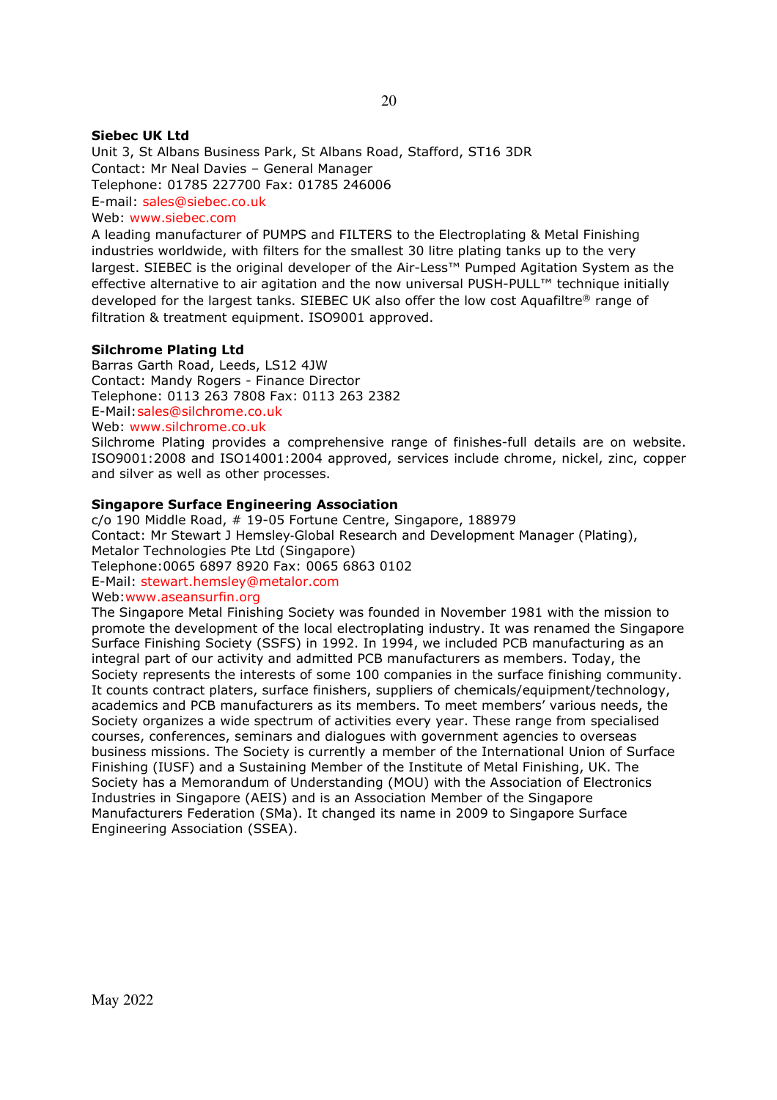# **Siebec UK Ltd**

Unit 3, St Albans Business Park, St Albans Road, Stafford, ST16 3DR Contact: Mr Neal Davies – General Manager Telephone: 01785 227700 Fax: 01785 246006 E-mail: sales@siebec.co.uk Web: www.siebec.com

A leading manufacturer of PUMPS and FILTERS to the Electroplating & Metal Finishing industries worldwide, with filters for the smallest 30 litre plating tanks up to the very largest. SIEBEC is the original developer of the Air-Less™ Pumped Agitation System as the effective alternative to air agitation and the now universal PUSH-PULL™ technique initially developed for the largest tanks. SIEBEC UK also offer the low cost Aquafiltre® range of filtration & treatment equipment. ISO9001 approved.

# **Silchrome Plating Ltd**

Barras Garth Road, Leeds, LS12 4JW Contact: Mandy Rogers - Finance Director Telephone: 0113 263 7808 Fax: 0113 263 2382 E-Mail: sales@silchrome.co.uk Web: www.silchrome.co.uk

Silchrome Plating provides a comprehensive range of finishes-full details are on website. ISO9001:2008 and ISO14001:2004 approved, services include chrome, nickel, zinc, copper and silver as well as other processes.

# **Singapore Surface Engineering Association**

c/o 190 Middle Road, # 19-05 Fortune Centre, Singapore, 188979 Contact: Mr Stewart J Hemsley-Global Research and Development Manager (Plating), Metalor Technologies Pte Ltd (Singapore) Telephone:0065 6897 8920 Fax: 0065 6863 0102 E-Mail: stewart.hemsley@metalor.com Web:www.aseansurfin.org

The Singapore Metal Finishing Society was founded in November 1981 with the mission to promote the development of the local electroplating industry. It was renamed the Singapore Surface Finishing Society (SSFS) in 1992. In 1994, we included PCB manufacturing as an integral part of our activity and admitted PCB manufacturers as members. Today, the Society represents the interests of some 100 companies in the surface finishing community. It counts contract platers, surface finishers, suppliers of chemicals/equipment/technology, academics and PCB manufacturers as its members. To meet members' various needs, the Society organizes a wide spectrum of activities every year. These range from specialised courses, conferences, seminars and dialogues with government agencies to overseas business missions. The Society is currently a member of the International Union of Surface Finishing (IUSF) and a Sustaining Member of the Institute of Metal Finishing, UK. The Society has a Memorandum of Understanding (MOU) with the Association of Electronics Industries in Singapore (AEIS) and is an Association Member of the Singapore Manufacturers Federation (SMa). It changed its name in 2009 to Singapore Surface Engineering Association (SSEA).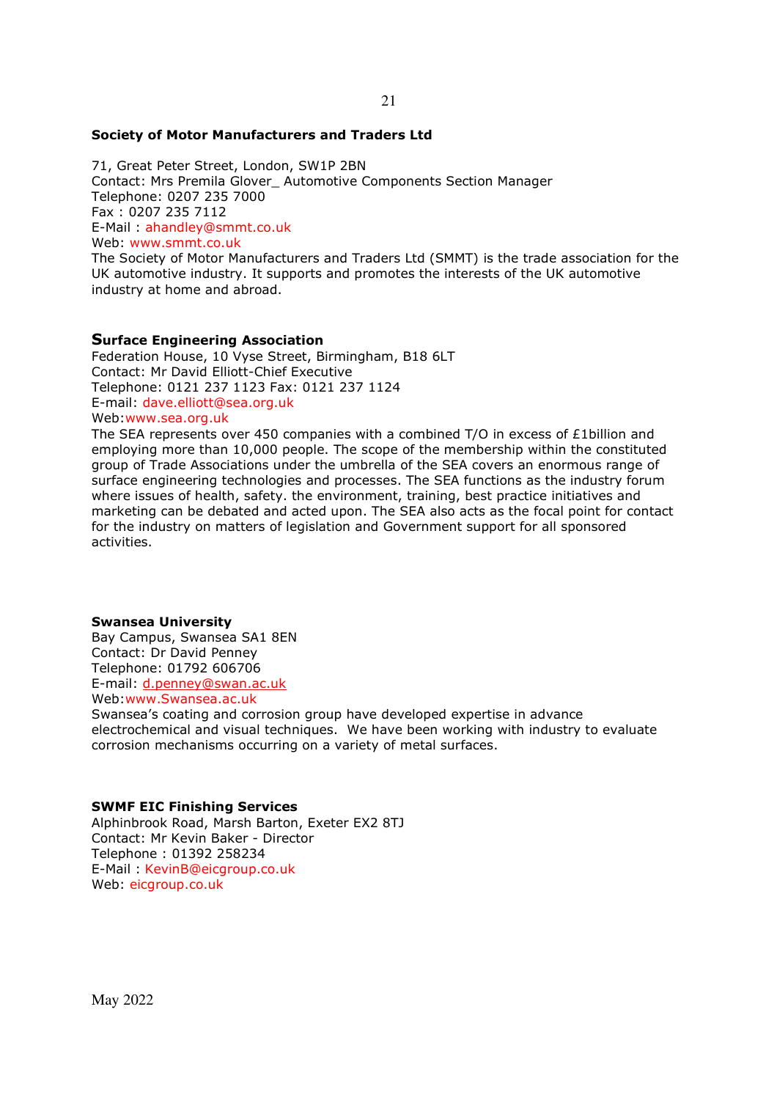#### **Society of Motor Manufacturers and Traders Ltd**

71, Great Peter Street, London, SW1P 2BN Contact: Mrs Premila Glover\_ Automotive Components Section Manager Telephone: 0207 235 7000 Fax : 0207 235 7112 E-Mail : ahandley@smmt.co.uk Web: www.smmt.co.uk The Society of Motor Manufacturers and Traders Ltd (SMMT) is the trade association for the

UK automotive industry. It supports and promotes the interests of the UK automotive industry at home and abroad.

#### **Surface Engineering Association**

Federation House, 10 Vyse Street, Birmingham, B18 6LT Contact: Mr David Elliott-Chief Executive Telephone: 0121 237 1123 Fax: 0121 237 1124 E-mail: dave.elliott@sea.org.uk

Web:www.sea.org.uk

The SEA represents over 450 companies with a combined T/O in excess of £1billion and employing more than 10,000 people. The scope of the membership within the constituted group of Trade Associations under the umbrella of the SEA covers an enormous range of surface engineering technologies and processes. The SEA functions as the industry forum where issues of health, safety. the environment, training, best practice initiatives and marketing can be debated and acted upon. The SEA also acts as the focal point for contact for the industry on matters of legislation and Government support for all sponsored activities.

#### **Swansea University**

Bay Campus, Swansea SA1 8EN Contact: Dr David Penney Telephone: 01792 606706 E-mail: d.penney@swan.ac.uk Web:www.Swansea.ac.uk

Swansea's coating and corrosion group have developed expertise in advance electrochemical and visual techniques. We have been working with industry to evaluate corrosion mechanisms occurring on a variety of metal surfaces.

#### **SWMF EIC Finishing Services**

Alphinbrook Road, Marsh Barton, Exeter EX2 8TJ Contact: Mr Kevin Baker - Director Telephone : 01392 258234 E-Mail : KevinB@eicgroup.co.uk Web: eicgroup.co.uk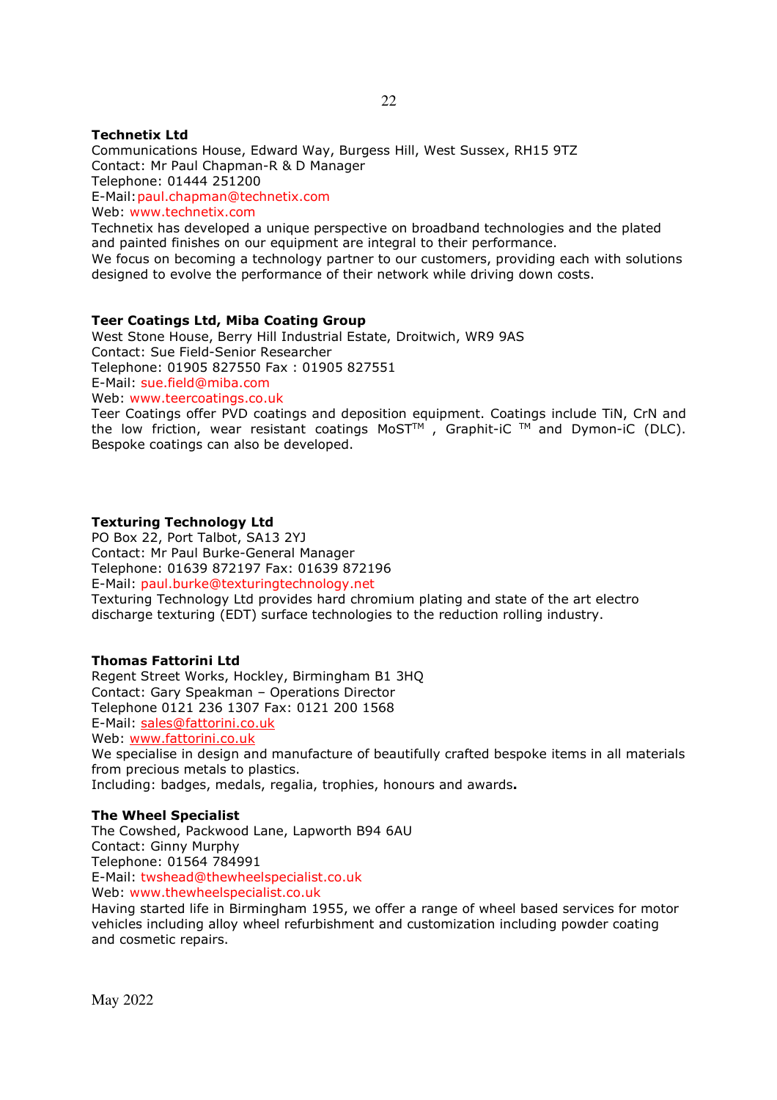## **Technetix Ltd**

Communications House, Edward Way, Burgess Hill, West Sussex, RH15 9TZ Contact: Mr Paul Chapman-R & D Manager Telephone: 01444 251200 E-Mail: paul.chapman@technetix.com Web: www.technetix.com

Technetix has developed a unique perspective on broadband technologies and the plated and painted finishes on our equipment are integral to their performance. We focus on becoming a technology partner to our customers, providing each with solutions designed to evolve the performance of their network while driving down costs.

# **Teer Coatings Ltd, Miba Coating Group**

West Stone House, Berry Hill Industrial Estate, Droitwich, WR9 9AS Contact: Sue Field-Senior Researcher Telephone: 01905 827550 Fax : 01905 827551 E-Mail: sue.field@miba.com Web: www.teercoatings.co.uk

Teer Coatings offer PVD coatings and deposition equipment. Coatings include TiN, CrN and the low friction, wear resistant coatings MoST<sup>TM</sup>, Graphit-iC <sup>TM</sup> and Dymon-iC (DLC). Bespoke coatings can also be developed.

# **Texturing Technology Ltd**

PO Box 22, Port Talbot, SA13 2YJ Contact: Mr Paul Burke-General Manager Telephone: 01639 872197 Fax: 01639 872196 E-Mail: paul.burke@texturingtechnology.net

Texturing Technology Ltd provides hard chromium plating and state of the art electro discharge texturing (EDT) surface technologies to the reduction rolling industry.

#### **Thomas Fattorini Ltd**

Regent Street Works, Hockley, Birmingham B1 3HQ Contact: Gary Speakman – Operations Director Telephone 0121 236 1307 Fax: 0121 200 1568 E-Mail: sales@fattorini.co.uk Web: www.fattorini.co.uk We specialise in design and manufacture of beautifully crafted bespoke items in all materials from precious metals to plastics. Including: badges, medals, regalia, trophies, honours and awards**.** 

#### **The Wheel Specialist**

The Cowshed, Packwood Lane, Lapworth B94 6AU Contact: Ginny Murphy Telephone: 01564 784991 E-Mail: twshead@thewheelspecialist.co.uk Web: www.thewheelspecialist.co.uk

Having started life in Birmingham 1955, we offer a range of wheel based services for motor vehicles including alloy wheel refurbishment and customization including powder coating and cosmetic repairs.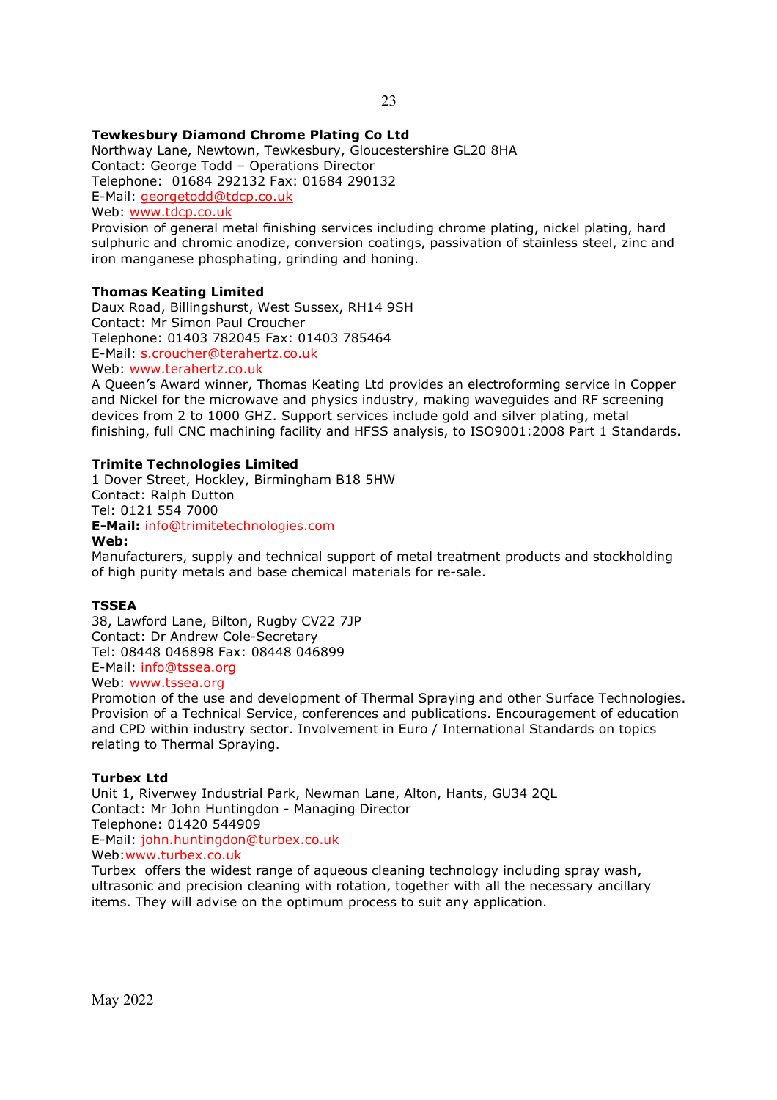# **Tewkesbury Diamond Chrome Plating Co Ltd**

Northway Lane, Newtown, Tewkesbury, Gloucestershire GL20 8HA Contact: George Todd – Operations Director Telephone: 01684 292132 Fax: 01684 290132 E-Mail: georgetodd@tdcp.co.uk Web: www.tdcp.co.uk

Provision of general metal finishing services including chrome plating, nickel plating, hard sulphuric and chromic anodize, conversion coatings, passivation of stainless steel, zinc and iron manganese phosphating, grinding and honing.

# **Thomas Keating Limited**

Daux Road, Billingshurst, West Sussex, RH14 9SH Contact: Mr Simon Paul Croucher Telephone: 01403 782045 Fax: 01403 785464 E-Mail: s.croucher@terahertz.co.uk

Web: www.terahertz.co.uk

A Queen's Award winner, Thomas Keating Ltd provides an electroforming service in Copper and Nickel for the microwave and physics industry, making waveguides and RF screening devices from 2 to 1000 GHZ. Support services include gold and silver plating, metal finishing, full CNC machining facility and HFSS analysis, to ISO9001:2008 Part 1 Standards.

#### **Trimite Technologies Limited**

1 Dover Street, Hockley, Birmingham B18 5HW Contact: Ralph Dutton Tel: 0121 554 7000

**E-Mail:** info@trimitetechnologies.com **Web:** 

Manufacturers, supply and technical support of metal treatment products and stockholding of high purity metals and base chemical materials for re-sale.

#### **TSSEA**

38, Lawford Lane, Bilton, Rugby CV22 7JP Contact: Dr Andrew Cole-Secretary Tel: 08448 046898 Fax: 08448 046899 E-Mail: info@tssea.org

Web: www.tssea.org

Promotion of the use and development of Thermal Spraying and other Surface Technologies. Provision of a Technical Service, conferences and publications. Encouragement of education and CPD within industry sector. Involvement in Euro / International Standards on topics relating to Thermal Spraying.

# **Turbex Ltd**

Unit 1, Riverwey Industrial Park, Newman Lane, Alton, Hants, GU34 2QL Contact: Mr John Huntingdon - Managing Director Telephone: 01420 544909 E-Mail: john.huntingdon@turbex.co.uk Web:www.turbex.co.uk

Turbex offers the widest range of aqueous cleaning technology including spray wash, ultrasonic and precision cleaning with rotation, together with all the necessary ancillary items. They will advise on the optimum process to suit any application.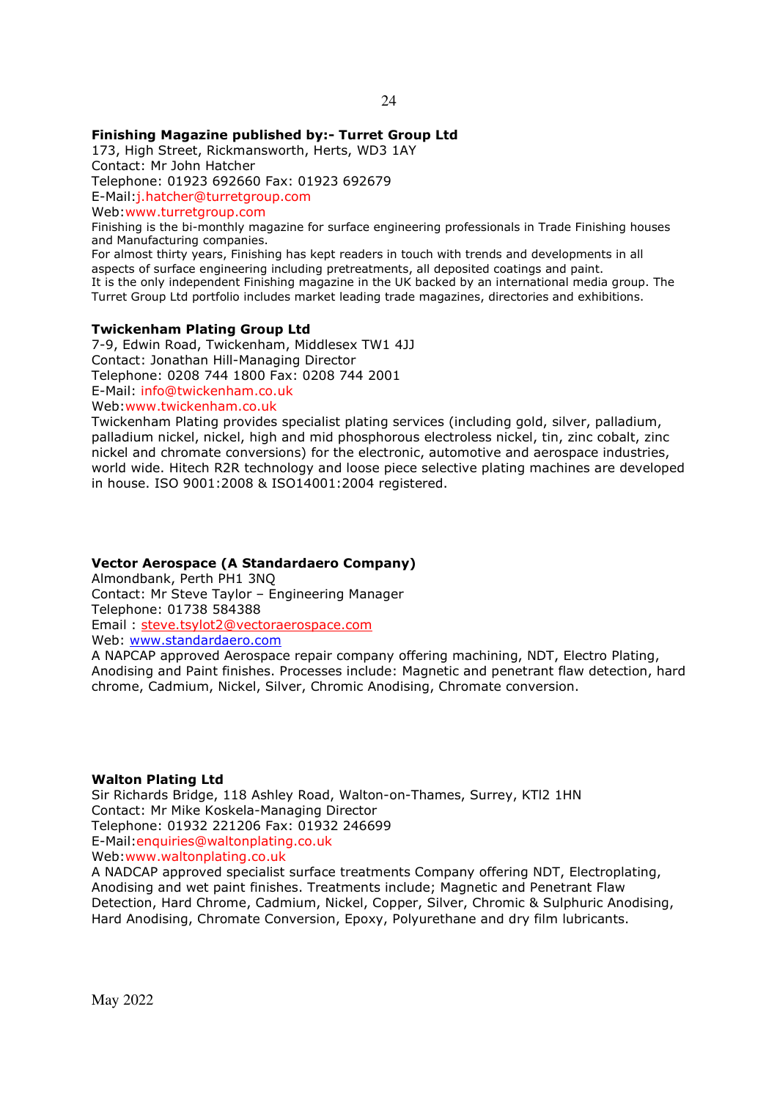# **Finishing Magazine published by:- Turret Group Ltd**

173, High Street, Rickmansworth, Herts, WD3 1AY Contact: Mr John Hatcher Telephone: 01923 692660 Fax: 01923 692679

E-Mail:j.hatcher@turretgroup.com

Web:www.turretgroup.com

Finishing is the bi-monthly magazine for surface engineering professionals in Trade Finishing houses and Manufacturing companies.

For almost thirty years, Finishing has kept readers in touch with trends and developments in all aspects of surface engineering including pretreatments, all deposited coatings and paint. It is the only independent Finishing magazine in the UK backed by an international media group. The Turret Group Ltd portfolio includes market leading trade magazines, directories and exhibitions.

#### **Twickenham Plating Group Ltd**

7-9, Edwin Road, Twickenham, Middlesex TW1 4JJ Contact: Jonathan Hill-Managing Director Telephone: 0208 744 1800 Fax: 0208 744 2001 E-Mail: info@twickenham.co.uk Web:www.twickenham.co.uk

Twickenham Plating provides specialist plating services (including gold, silver, palladium, palladium nickel, nickel, high and mid phosphorous electroless nickel, tin, zinc cobalt, zinc nickel and chromate conversions) for the electronic, automotive and aerospace industries, world wide. Hitech R2R technology and loose piece selective plating machines are developed in house. ISO 9001:2008 & ISO14001:2004 registered.

#### **Vector Aerospace (A Standardaero Company)**

Almondbank, Perth PH1 3NQ Contact: Mr Steve Taylor – Engineering Manager Telephone: 01738 584388 Email : steve.tsylot2@vectoraerospace.com Web: www.standardaero.com

A NAPCAP approved Aerospace repair company offering machining, NDT, Electro Plating, Anodising and Paint finishes. Processes include: Magnetic and penetrant flaw detection, hard chrome, Cadmium, Nickel, Silver, Chromic Anodising, Chromate conversion.

#### **Walton Plating Ltd**

Sir Richards Bridge, 118 Ashley Road, Walton-on-Thames, Surrey, KTl2 1HN Contact: Mr Mike Koskela-Managing Director Telephone: 01932 221206 Fax: 01932 246699 E-Mail:enquiries@waltonplating.co.uk Web: www.waltonplating.co.uk

A NADCAP approved specialist surface treatments Company offering NDT, Electroplating, Anodising and wet paint finishes. Treatments include; Magnetic and Penetrant Flaw Detection, Hard Chrome, Cadmium, Nickel, Copper, Silver, Chromic & Sulphuric Anodising, Hard Anodising, Chromate Conversion, Epoxy, Polyurethane and dry film lubricants.